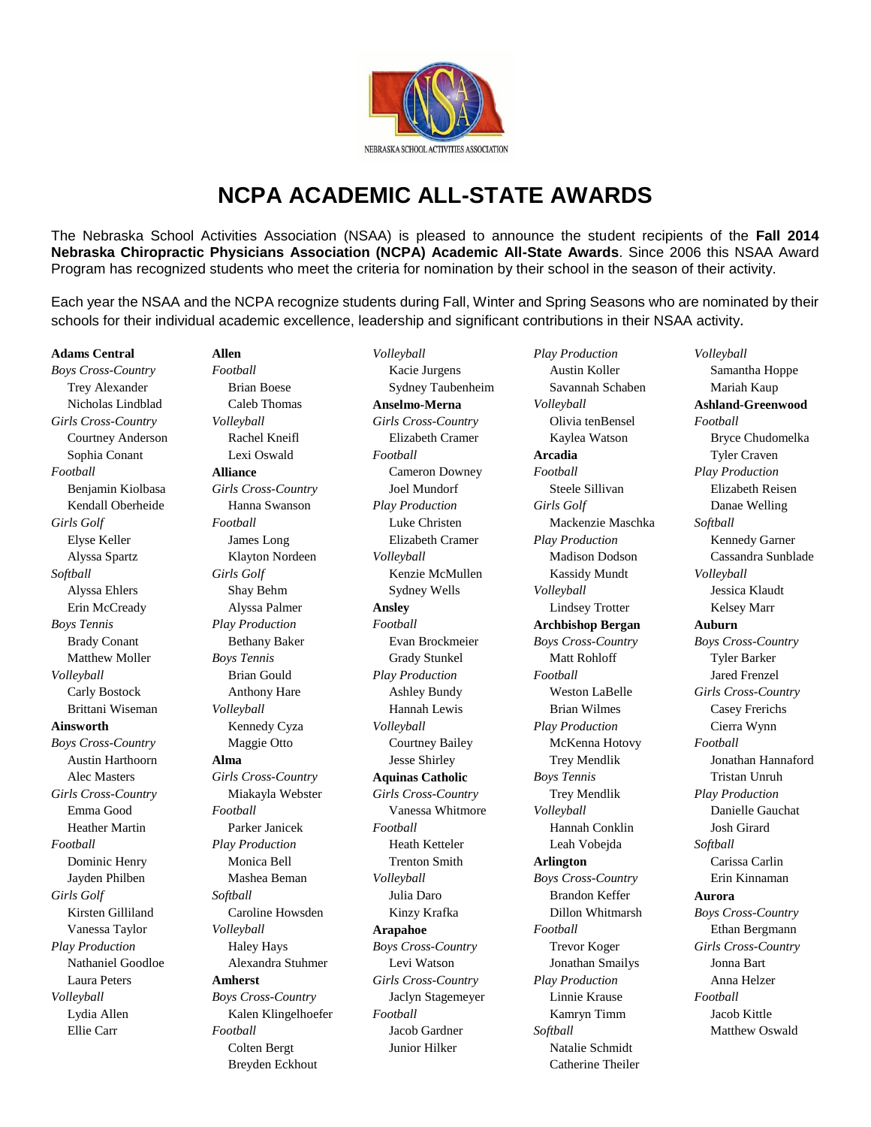

## **NCPA ACADEMIC ALL-STATE AWARDS**

The Nebraska School Activities Association (NSAA) is pleased to announce the student recipients of the **Fall 2014 Nebraska Chiropractic Physicians Association (NCPA) Academic All-State Awards**. Since 2006 this NSAA Award Program has recognized students who meet the criteria for nomination by their school in the season of their activity.

Each year the NSAA and the NCPA recognize students during Fall, Winter and Spring Seasons who are nominated by their schools for their individual academic excellence, leadership and significant contributions in their NSAA activity**.**

## **Adams Central**

*Boys Cross-Country* Trey Alexander Nicholas Lindblad *Girls Cross-Country* Courtney Anderson Sophia Conant *Football* Benjamin Kiolbasa Kendall Oberheide *Girls Golf* Elyse Keller Alyssa Spartz *Softball* Alyssa Ehlers Erin McCready *Boys Tennis* Brady Conant Matthew Moller *Volleyball* Carly Bostock Brittani Wiseman **Ainsworth** *Boys Cross-Country* Austin Harthoorn Alec Masters *Girls Cross-Country* Emma Good Heather Martin *Football* Dominic Henry Jayden Philben *Girls Golf* Kirsten Gilliland Vanessa Taylor *Play Production* Nathaniel Goodloe Laura Peters *Volleyball* Lydia Allen Ellie Carr

*Football* Brian Boese Caleb Thomas *Volleyball* Rachel Kneifl Lexi Oswald **Alliance** *Girls Cross-Country* Hanna Swanson *Football* James Long Klayton Nordeen *Girls Golf* Shay Behm Alyssa Palmer *Play Production* Bethany Baker *Boys Tennis* Brian Gould Anthony Hare *Volleyball* Kennedy Cyza Maggie Otto **Alma** *Girls Cross-Country* Miakayla Webster *Football* Parker Janicek *Play Production* Monica Bell Mashea Beman *Softball* Caroline Howsden *Volleyball* Haley Hays Alexandra Stuhmer **Amherst** *Boys Cross-Country* Kalen Klingelhoefer *Football* Colten Bergt

Breyden Eckhout

**Allen**

*Volleyball* Kacie Jurgens Sydney Taubenheim **Anselmo-Merna** *Girls Cross-Country* Elizabeth Cramer *Football* Cameron Downey Joel Mundorf *Play Production* Luke Christen Elizabeth Cramer *Volleyball* Kenzie McMullen Sydney Wells **Ansley** *Football* Evan Brockmeier Grady Stunkel *Play Production* Ashley Bundy Hannah Lewis *Volleyball* Courtney Bailey Jesse Shirley **Aquinas Catholic** *Girls Cross-Country* Vanessa Whitmore *Football* Heath Ketteler Trenton Smith *Volleyball* Julia Daro Kinzy Krafka **Arapahoe** *Boys Cross-Country* Levi Watson *Girls Cross-Country* Jaclyn Stagemeyer *Football* Jacob Gardner Junior Hilker

*Play Production* Austin Koller Savannah Schaben *Volleyball* Olivia tenBensel Kaylea Watson **Arcadia** *Football* Steele Sillivan *Girls Golf* Mackenzie Maschka *Play Production* Madison Dodson Kassidy Mundt *Volleyball* Lindsey Trotter **Archbishop Bergan** *Boys Cross-Country* Matt Rohloff *Football* Weston LaBelle Brian Wilmes *Play Production* McKenna Hotovy Trey Mendlik *Boys Tennis* Trey Mendlik *Volleyball* Hannah Conklin Leah Vobejda **Arlington** *Boys Cross-Country* Brandon Keffer Dillon Whitmarsh *Football* Trevor Koger Jonathan Smailys *Play Production* Linnie Krause Kamryn Timm *Softball* Natalie Schmidt Catherine Theiler

*Volleyball* Samantha Hoppe Mariah Kaup **Ashland-Greenwood** *Football* Bryce Chudomelka Tyler Craven *Play Production* Elizabeth Reisen Danae Welling *Softball* Kennedy Garner Cassandra Sunblade *Volleyball* Jessica Klaudt Kelsey Marr **Auburn** *Boys Cross-Country* Tyler Barker Jared Frenzel *Girls Cross-Country* Casey Frerichs Cierra Wynn *Football* Jonathan Hannaford Tristan Unruh *Play Production* Danielle Gauchat Josh Girard *Softball* Carissa Carlin Erin Kinnaman **Aurora** *Boys Cross-Country* Ethan Bergmann *Girls Cross-Country* Jonna Bart Anna Helzer *Football* Jacob Kittle Matthew Oswald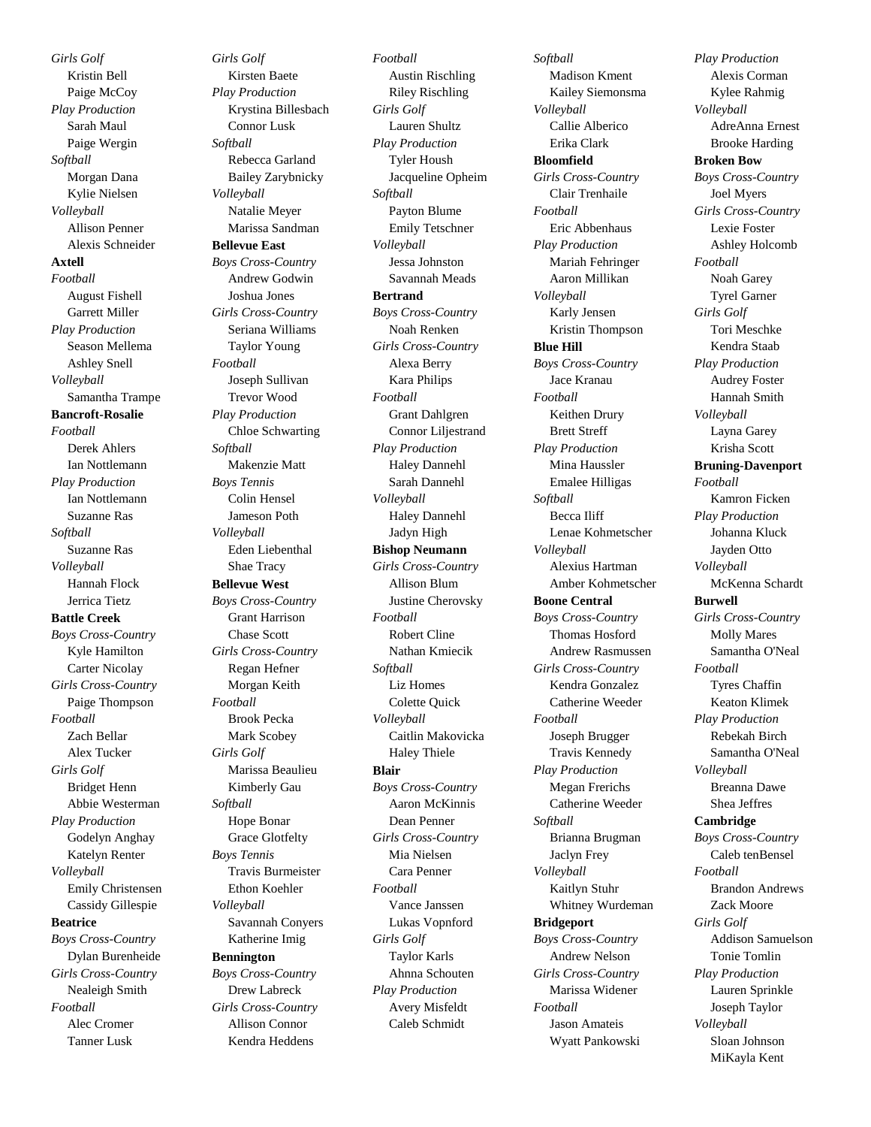*Girls Golf* Kristin Bell Paige McCoy *Play Production* Sarah Maul Paige Wergin *Softball* Morgan Dana Kylie Nielsen *Volleyball* Allison Penner Alexis Schneider **Axtell** *Football* August Fishell Garrett Miller *Play Production* Season Mellema Ashley Snell *Volleyball* Samantha Trampe **Bancroft-Rosalie** *Football* Derek Ahlers Ian Nottlemann *Play Production* Ian Nottlemann Suzanne Ras *Softball* Suzanne Ras *Volleyball* Hannah Flock Jerrica Tietz **Battle Creek** *Boys Cross-Country* Kyle Hamilton Carter Nicolay *Girls Cross-Country* Paige Thompson *Football* Zach Bellar Alex Tucker *Girls Golf* Bridget Henn Abbie Westerman *Play Production* Godelyn Anghay Katelyn Renter *Volleyball* Emily Christensen Cassidy Gillespie **Beatrice** *Boys Cross-Country* Dylan Burenheide *Girls Cross-Country* Nealeigh Smith *Football* Alec Cromer

Tanner Lusk

*Girls Golf* Kirsten Baete *Play Production* Krystina Billesbach Connor Lusk *Softball* Rebecca Garland Bailey Zarybnicky *Volleyball* Natalie Meyer Marissa Sandman **Bellevue East** *Boys Cross-Country* Andrew Godwin Joshua Jones *Girls Cross-Country* Seriana Williams Taylor Young *Football* Joseph Sullivan Trevor Wood *Play Production* Chloe Schwarting *Softball* Makenzie Matt *Boys Tennis* Colin Hensel Jameson Poth *Volleyball* Eden Liebenthal Shae Tracy **Bellevue West** *Boys Cross-Country* Grant Harrison Chase Scott *Girls Cross-Country* Regan Hefner Morgan Keith *Football* Brook Pecka Mark Scobey *Girls Golf* Marissa Beaulieu Kimberly Gau *Softball* Hope Bonar Grace Glotfelty *Boys Tennis* Travis Burmeister Ethon Koehler *Volleyball* Savannah Conyers Katherine Imig **Bennington** *Boys Cross-Country* Drew Labreck *Girls Cross-Country* Allison Connor

Kendra Heddens

*Football* Austin Rischling Riley Rischling *Girls Golf* Lauren Shultz *Play Production* Tyler Housh Jacqueline Opheim *Softball* Payton Blume Emily Tetschner *Volleyball* Jessa Johnston Savannah Meads **Bertrand** *Boys Cross-Country* Noah Renken *Girls Cross-Country* Alexa Berry Kara Philips *Football* Grant Dahlgren Connor Liljestrand *Play Production* Haley Dannehl Sarah Dannehl *Volleyball* Haley Dannehl Jadyn High **Bishop Neumann** *Girls Cross-Country* Allison Blum Justine Cherovsky *Football* Robert Cline Nathan Kmiecik *Softball* Liz Homes Colette Quick *Volleyball* Caitlin Makovicka Haley Thiele **Blair** *Boys Cross-Country* Aaron McKinnis Dean Penner *Girls Cross-Country* Mia Nielsen Cara Penner *Football* Vance Janssen Lukas Vopnford *Girls Golf* Taylor Karls Ahnna Schouten *Play Production* Avery Misfeldt Caleb Schmidt

*Softball* Madison Kment Kailey Siemonsma *Volleyball* Callie Alberico Erika Clark **Bloomfield** *Girls Cross-Country* Clair Trenhaile *Football* Eric Abbenhaus *Play Production* Mariah Fehringer Aaron Millikan *Volleyball* Karly Jensen Kristin Thompson **Blue Hill** *Boys Cross-Country* Jace Kranau *Football* Keithen Drury Brett Streff *Play Production* Mina Haussler Emalee Hilligas *Softball* Becca Iliff Lenae Kohmetscher *Volleyball* Alexius Hartman Amber Kohmetscher **Boone Central** *Boys Cross-Country* Thomas Hosford Andrew Rasmussen *Girls Cross-Country* Kendra Gonzalez Catherine Weeder *Football* Joseph Brugger Travis Kennedy *Play Production* Megan Frerichs Catherine Weeder *Softball* Brianna Brugman Jaclyn Frey *Volleyball* Kaitlyn Stuhr Whitney Wurdeman **Bridgeport** *Boys Cross-Country* Andrew Nelson *Girls Cross-Country* Marissa Widener *Football* Jason Amateis Wyatt Pankowski

*Play Production* Alexis Corman Kylee Rahmig *Volleyball* AdreAnna Ernest Brooke Harding **Broken Bow** *Boys Cross-Country* Joel Myers *Girls Cross-Country* Lexie Foster Ashley Holcomb *Football* Noah Garey Tyrel Garner *Girls Golf* Tori Meschke Kendra Staab *Play Production* Audrey Foster Hannah Smith *Volleyball* Layna Garey Krisha Scott **Bruning-Davenport** *Football* Kamron Ficken *Play Production* Johanna Kluck Jayden Otto *Volleyball* McKenna Schardt **Burwell** *Girls Cross-Country* Molly Mares Samantha O'Neal *Football* Tyres Chaffin Keaton Klimek *Play Production* Rebekah Birch Samantha O'Neal *Volleyball* Breanna Dawe Shea Jeffres **Cambridge** *Boys Cross-Country* Caleb tenBensel *Football* Brandon Andrews Zack Moore *Girls Golf* Addison Samuelson Tonie Tomlin *Play Production* Lauren Sprinkle Joseph Taylor *Volleyball* Sloan Johnson MiKayla Kent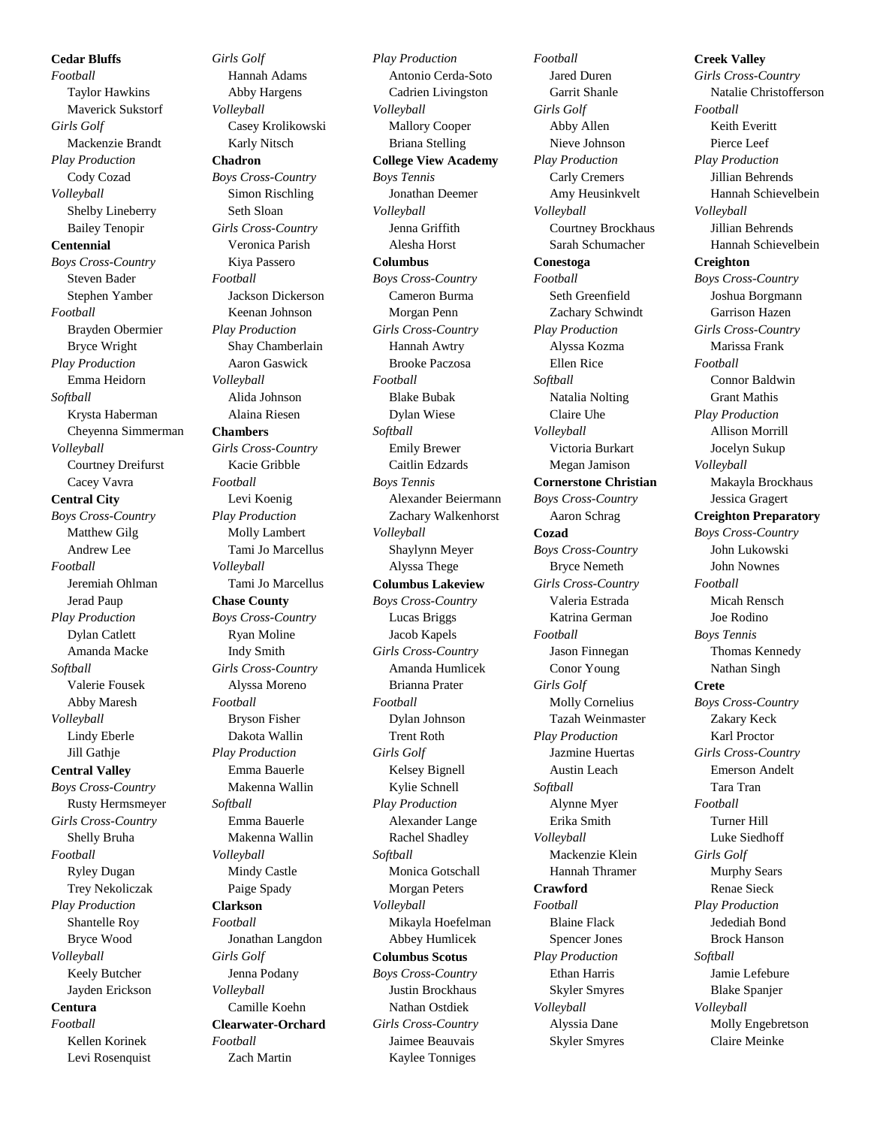**Cedar Bluffs** *Football* Taylor Hawkins Maverick Sukstorf *Girls Golf* Mackenzie Brandt *Play Production* Cody Cozad *Volleyball* Shelby Lineberry Bailey Tenopir **Centennial** *Boys Cross-Country* Steven Bader Stephen Yamber *Football* Brayden Obermier Bryce Wright *Play Production* Emma Heidorn *Softball* Krysta Haberman Cheyenna Simmerman *Volleyball* Courtney Dreifurst Cacey Vavra **Central City** *Boys Cross-Country* Matthew Gilg Andrew Lee *Football* Jeremiah Ohlman Jerad Paup *Play Production* Dylan Catlett Amanda Macke *Softball* Valerie Fousek Abby Maresh *Volleyball* Lindy Eberle Jill Gathje **Central Valley** *Boys Cross-Country* Rusty Hermsmeyer *Girls Cross-Country* Shelly Bruha *Football* Ryley Dugan Trey Nekoliczak *Play Production* Shantelle Roy Bryce Wood *Volleyball* Keely Butcher Jayden Erickson **Centura** *Football* Kellen Korinek Levi Rosenquist

*Girls Golf* Hannah Adams Abby Hargens *Volleyball* Casey Krolikowski Karly Nitsch **Chadron** *Boys Cross-Country* Simon Rischling Seth Sloan *Girls Cross-Country* Veronica Parish Kiya Passero *Football* Jackson Dickerson Keenan Johnson *Play Production* Shay Chamberlain Aaron Gaswick *Volleyball* Alida Johnson Alaina Riesen **Chambers** *Girls Cross-Country* Kacie Gribble *Football* Levi Koenig *Play Production* Molly Lambert Tami Jo Marcellus *Volleyball* Tami Jo Marcellus **Chase County** *Boys Cross-Country* Ryan Moline Indy Smith *Girls Cross-Country* Alyssa Moreno *Football* Bryson Fisher Dakota Wallin *Play Production* Emma Bauerle Makenna Wallin *Softball* Emma Bauerle Makenna Wallin *Volleyball* Mindy Castle Paige Spady **Clarkson** *Football* Jonathan Langdon *Girls Golf* Jenna Podany *Volleyball* Camille Koehn **Clearwater-Orchard** *Football*

Zach Martin

*Play Production* Antonio Cerda-Soto Cadrien Livingston *Volleyball* Mallory Cooper Briana Stelling **College View Academy** *Boys Tennis* Jonathan Deemer *Volleyball* Jenna Griffith Alesha Horst **Columbus** *Boys Cross-Country* Cameron Burma Morgan Penn *Girls Cross-Country* Hannah Awtry Brooke Paczosa *Football* Blake Bubak Dylan Wiese *Softball* Emily Brewer Caitlin Edzards *Boys Tennis* Alexander Beiermann Zachary Walkenhorst *Volleyball* Shaylynn Meyer Alyssa Thege **Columbus Lakeview** *Boys Cross-Country* Lucas Briggs Jacob Kapels *Girls Cross-Country* Amanda Humlicek Brianna Prater *Football* Dylan Johnson Trent Roth *Girls Golf* Kelsey Bignell Kylie Schnell *Play Production* Alexander Lange Rachel Shadley *Softball* Monica Gotschall Morgan Peters *Volleyball* Mikayla Hoefelman Abbey Humlicek **Columbus Scotus** *Boys Cross-Country* Justin Brockhaus Nathan Ostdiek *Girls Cross-Country* Jaimee Beauvais Kaylee Tonniges

*Football* Jared Duren Garrit Shanle *Girls Golf* Abby Allen Nieve Johnson *Play Production* Carly Cremers Amy Heusinkvelt *Volleyball* Courtney Brockhaus Sarah Schumacher **Conestoga** *Football* Seth Greenfield Zachary Schwindt *Play Production* Alyssa Kozma Ellen Rice *Softball* Natalia Nolting Claire Uhe *Volleyball* Victoria Burkart Megan Jamison **Cornerstone Christian** *Boys Cross-Country* Aaron Schrag **Cozad** *Boys Cross-Country* Bryce Nemeth *Girls Cross-Country* Valeria Estrada Katrina German *Football* Jason Finnegan Conor Young *Girls Golf* Molly Cornelius Tazah Weinmaster *Play Production* Jazmine Huertas Austin Leach *Softball* Alynne Myer Erika Smith *Volleyball* Mackenzie Klein Hannah Thramer **Crawford** *Football* Blaine Flack Spencer Jones *Play Production* Ethan Harris Skyler Smyres *Volleyball* Alyssia Dane Skyler Smyres

**Creek Valley** *Girls Cross-Country* Natalie Christofferson *Football* Keith Everitt Pierce Leef *Play Production* Jillian Behrends Hannah Schievelbein *Volleyball* Jillian Behrends Hannah Schievelbein **Creighton** *Boys Cross-Country* Joshua Borgmann Garrison Hazen *Girls Cross-Country* Marissa Frank *Football* Connor Baldwin Grant Mathis *Play Production* Allison Morrill Jocelyn Sukup *Volleyball* Makayla Brockhaus Jessica Gragert **Creighton Preparatory**  *Boys Cross-Country* John Lukowski John Nownes *Football* Micah Rensch Joe Rodino *Boys Tennis* Thomas Kennedy Nathan Singh **Crete** *Boys Cross-Country* Zakary Keck Karl Proctor *Girls Cross-Country* Emerson Andelt Tara Tran *Football* Turner Hill Luke Siedhoff *Girls Golf* Murphy Sears Renae Sieck *Play Production* Jedediah Bond Brock Hanson *Softball* Jamie Lefebure Blake Spanjer *Volleyball* Molly Engebretson Claire Meinke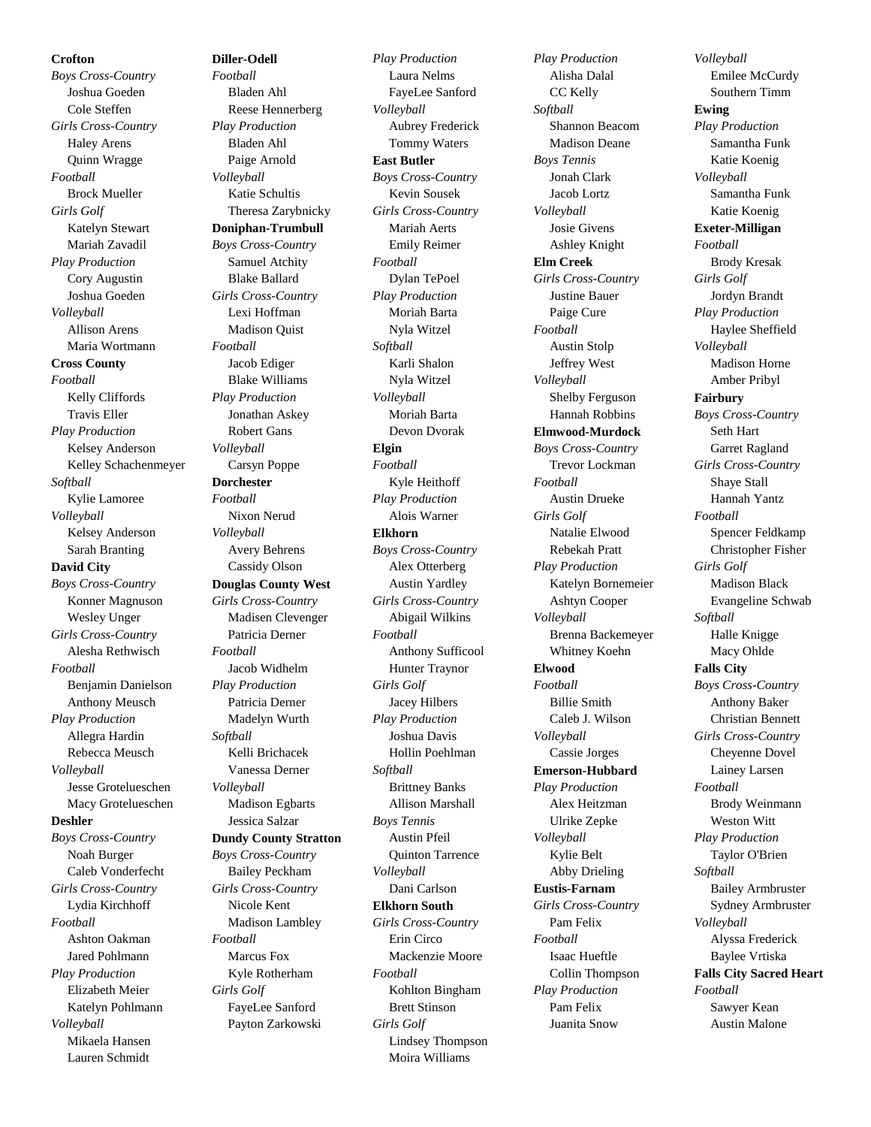## **Crofton**

*Boys Cross-Country* Joshua Goeden Cole Steffen *Girls Cross-Country* Haley Arens Quinn Wragge *Football* Brock Mueller *Girls Golf* Katelyn Stewart Mariah Zavadil *Play Production* Cory Augustin Joshua Goeden *Volleyball* Allison Arens Maria Wortmann **Cross County** *Football* Kelly Cliffords Travis Eller *Play Production* Kelsey Anderson Kelley Schachenmeyer *Softball* Kylie Lamoree *Volleyball* Kelsey Anderson Sarah Branting **David City** *Boys Cross-Country* Konner Magnuson Wesley Unger *Girls Cross-Country* Alesha Rethwisch *Football* Benjamin Danielson Anthony Meusch *Play Production* Allegra Hardin Rebecca Meusch *Volleyball* Jesse Grotelueschen Macy Grotelueschen **Deshler** *Boys Cross-Country* Noah Burger Caleb Vonderfecht *Girls Cross-Country* Lydia Kirchhoff *Football* Ashton Oakman Jared Pohlmann *Play Production* Elizabeth Meier Katelyn Pohlmann *Volleyball* Mikaela Hansen Lauren Schmidt

*Football* Bladen Ahl Reese Hennerberg *Play Production* Bladen Ahl Paige Arnold *Volleyball* Katie Schultis Theresa Zarybnicky **Doniphan-Trumbull** *Boys Cross-Country* Samuel Atchity Blake Ballard *Girls Cross-Country* Lexi Hoffman Madison Quist *Football* Jacob Ediger Blake Williams *Play Production* Jonathan Askey Robert Gans *Volleyball* Carsyn Poppe **Dorchester** *Football* Nixon Nerud *Volleyball* Avery Behrens Cassidy Olson **Douglas County West** *Girls Cross-Country* Madisen Clevenger Patricia Derner *Football* Jacob Widhelm *Play Production* Patricia Derner Madelyn Wurth *Softball* Kelli Brichacek Vanessa Derner *Volleyball* Madison Egbarts Jessica Salzar **Dundy County Stratton** *Boys Cross-Country* Bailey Peckham *Girls Cross-Country* Nicole Kent Madison Lambley *Football* Marcus Fox Kyle Rotherham *Girls Golf* FayeLee Sanford Payton Zarkowski

**Diller-Odell**

*Play Production* Laura Nelms FayeLee Sanford *Volleyball* Aubrey Frederick Tommy Waters **East Butler** *Boys Cross-Country* Kevin Sousek *Girls Cross-Country* Mariah Aerts Emily Reimer *Football* Dylan TePoel *Play Production* Moriah Barta Nyla Witzel *Softball* Karli Shalon Nyla Witzel *Volleyball* Moriah Barta Devon Dvorak **Elgin** *Football* Kyle Heithoff *Play Production* Alois Warner **Elkhorn** *Boys Cross-Country* Alex Otterberg Austin Yardley *Girls Cross-Country* Abigail Wilkins *Football* Anthony Sufficool Hunter Traynor *Girls Golf* Jacey Hilbers *Play Production* Joshua Davis Hollin Poehlman *Softball* Brittney Banks Allison Marshall *Boys Tennis* Austin Pfeil Quinton Tarrence *Volleyball* Dani Carlson **Elkhorn South** *Girls Cross-Country* Erin Circo Mackenzie Moore *Football* Kohlton Bingham Brett Stinson *Girls Golf* Lindsey Thompson Moira Williams

*Play Production* Alisha Dalal CC Kelly *Softball* Shannon Beacom Madison Deane *Boys Tennis* Jonah Clark Jacob Lortz *Volleyball* Josie Givens Ashley Knight **Elm Creek** *Girls Cross-Country* Justine Bauer Paige Cure *Football* Austin Stolp Jeffrey West *Volleyball* Shelby Ferguson Hannah Robbins **Elmwood-Murdock** *Boys Cross-Country* Trevor Lockman *Football* Austin Drueke *Girls Golf* Natalie Elwood Rebekah Pratt *Play Production* Katelyn Bornemeier Ashtyn Cooper *Volleyball* Brenna Backemeyer Whitney Koehn **Elwood** *Football* Billie Smith Caleb J. Wilson *Volleyball* Cassie Jorges **Emerson-Hubbard** *Play Production* Alex Heitzman Ulrike Zepke *Volleyball* Kylie Belt Abby Drieling **Eustis-Farnam** *Girls Cross-Country* Pam Felix *Football* Isaac Hueftle Collin Thompson *Play Production* Pam Felix Juanita Snow

*Volleyball* Emilee McCurdy Southern Timm **Ewing** *Play Production* Samantha Funk Katie Koenig *Volleyball* Samantha Funk Katie Koenig **Exeter-Milligan** *Football* Brody Kresak *Girls Golf* Jordyn Brandt *Play Production* Haylee Sheffield *Volleyball* Madison Horne Amber Pribyl **Fairbury** *Boys Cross-Country* Seth Hart Garret Ragland *Girls Cross-Country* Shaye Stall Hannah Yantz *Football* Spencer Feldkamp Christopher Fisher *Girls Golf* Madison Black Evangeline Schwab *Softball* Halle Knigge Macy Ohlde **Falls City** *Boys Cross-Country* Anthony Baker Christian Bennett *Girls Cross-Country* Cheyenne Dovel Lainey Larsen *Football* Brody Weinmann Weston Witt *Play Production* Taylor O'Brien *Softball* Bailey Armbruster Sydney Armbruster *Volleyball* Alyssa Frederick Baylee Vrtiska **Falls City Sacred Heart** *Football* Sawyer Kean Austin Malone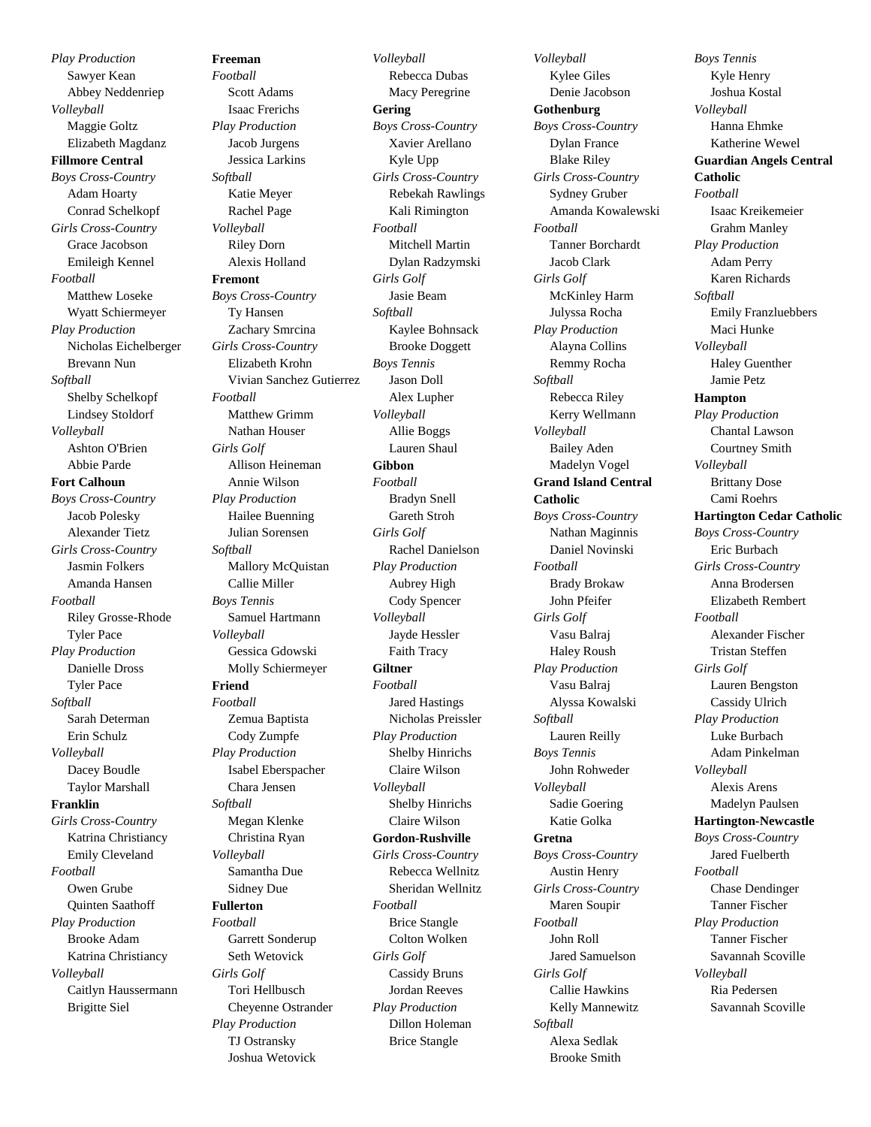*Play Production* Sawyer Kean Abbey Neddenriep *Volleyball* Maggie Goltz Elizabeth Magdanz **Fillmore Central** *Boys Cross-Country* Adam Hoarty Conrad Schelkopf *Girls Cross-Country* Grace Jacobson Emileigh Kennel *Football* Matthew Loseke Wyatt Schiermeyer *Play Production* Nicholas Eichelberger Brevann Nun *Softball* Shelby Schelkopf Lindsey Stoldorf *Volleyball* Ashton O'Brien Abbie Parde **Fort Calhoun** *Boys Cross-Country* Jacob Polesky Alexander Tietz *Girls Cross-Country* Jasmin Folkers Amanda Hansen *Football* Riley Grosse-Rhode Tyler Pace *Play Production* Danielle Dross Tyler Pace *Softball* Sarah Determan Erin Schulz *Volleyball* Dacey Boudle Taylor Marshall **Franklin** *Girls Cross-Country* Katrina Christiancy Emily Cleveland *Football* Owen Grube Quinten Saathoff *Play Production* Brooke Adam Katrina Christiancy *Volleyball* Caitlyn Haussermann Brigitte Siel

**Freeman** *Football* Scott Adams Isaac Frerichs *Play Production* Jacob Jurgens Jessica Larkins *Softball* Katie Meyer Rachel Page *Volleyball* Riley Dorn Alexis Holland **Fremont** *Boys Cross-Country* Ty Hansen Zachary Smrcina *Girls Cross-Country* Elizabeth Krohn Vivian Sanchez Gutierrez *Football* Matthew Grimm Nathan Houser *Girls Golf* Allison Heineman Annie Wilson *Play Production* Hailee Buenning Julian Sorensen *Softball* Mallory McQuistan Callie Miller *Boys Tennis* Samuel Hartmann *Volleyball* Gessica Gdowski Molly Schiermeyer **Friend** *Football* Zemua Baptista Cody Zumpfe *Play Production* Isabel Eberspacher Chara Jensen *Softball* Megan Klenke Christina Ryan *Volleyball* Samantha Due Sidney Due **Fullerton** *Football* Garrett Sonderup Seth Wetovick *Girls Golf* Tori Hellbusch Cheyenne Ostrander *Play Production* TJ Ostransky Joshua Wetovick

*Volleyball* Rebecca Dubas Macy Peregrine **Gering** *Boys Cross-Country* Xavier Arellano Kyle Upp *Girls Cross-Country* Rebekah Rawlings Kali Rimington *Football* Mitchell Martin Dylan Radzymski *Girls Golf* Jasie Beam *Softball* Kaylee Bohnsack Brooke Doggett *Boys Tennis* Jason Doll Alex Lupher *Volleyball* Allie Boggs Lauren Shaul **Gibbon** *Football* Bradyn Snell Gareth Stroh *Girls Golf* Rachel Danielson *Play Production* Aubrey High Cody Spencer *Volleyball* Jayde Hessler Faith Tracy **Giltner** *Football* Jared Hastings Nicholas Preissler *Play Production* Shelby Hinrichs Claire Wilson *Volleyball* Shelby Hinrichs Claire Wilson **Gordon-Rushville** *Girls Cross-Country* Rebecca Wellnitz Sheridan Wellnitz *Football* Brice Stangle Colton Wolken *Girls Golf* Cassidy Bruns Jordan Reeves *Play Production* Dillon Holeman Brice Stangle

*Volleyball* Kylee Giles Denie Jacobson **Gothenburg** *Boys Cross-Country* Dylan France Blake Riley *Girls Cross-Country* Sydney Gruber Amanda Kowalewski *Football* Tanner Borchardt Jacob Clark *Girls Golf* McKinley Harm Julyssa Rocha *Play Production* Alayna Collins Remmy Rocha *Softball* Rebecca Riley Kerry Wellmann *Volleyball* Bailey Aden Madelyn Vogel **Grand Island Central Catholic** *Boys Cross-Country* Nathan Maginnis Daniel Novinski *Football* Brady Brokaw John Pfeifer *Girls Golf* Vasu Balraj Haley Roush *Play Production* Vasu Balraj Alyssa Kowalski *Softball* Lauren Reilly *Boys Tennis* John Rohweder *Volleyball* Sadie Goering Katie Golka **Gretna** *Boys Cross-Country* Austin Henry *Girls Cross-Country* Maren Soupir *Football* John Roll Jared Samuelson *Girls Golf* Callie Hawkins Kelly Mannewitz *Softball* Alexa Sedlak Brooke Smith

*Boys Tennis* Kyle Henry Joshua Kostal *Volleyball* Hanna Ehmke Katherine Wewel **Guardian Angels Central Catholic** *Football* Isaac Kreikemeier Grahm Manley *Play Production* Adam Perry Karen Richards *Softball* Emily Franzluebbers Maci Hunke *Volleyball* Haley Guenther Jamie Petz **Hampton** *Play Production* Chantal Lawson Courtney Smith *Volleyball* Brittany Dose Cami Roehrs **Hartington Cedar Catholic** *Boys Cross-Country* Eric Burbach *Girls Cross-Country* Anna Brodersen Elizabeth Rembert *Football* Alexander Fischer Tristan Steffen *Girls Golf* Lauren Bengston Cassidy Ulrich *Play Production* Luke Burbach Adam Pinkelman *Volleyball* Alexis Arens Madelyn Paulsen **Hartington-Newcastle** *Boys Cross-Country* Jared Fuelberth *Football* Chase Dendinger Tanner Fischer *Play Production* Tanner Fischer Savannah Scoville *Volleyball* Ria Pedersen Savannah Scoville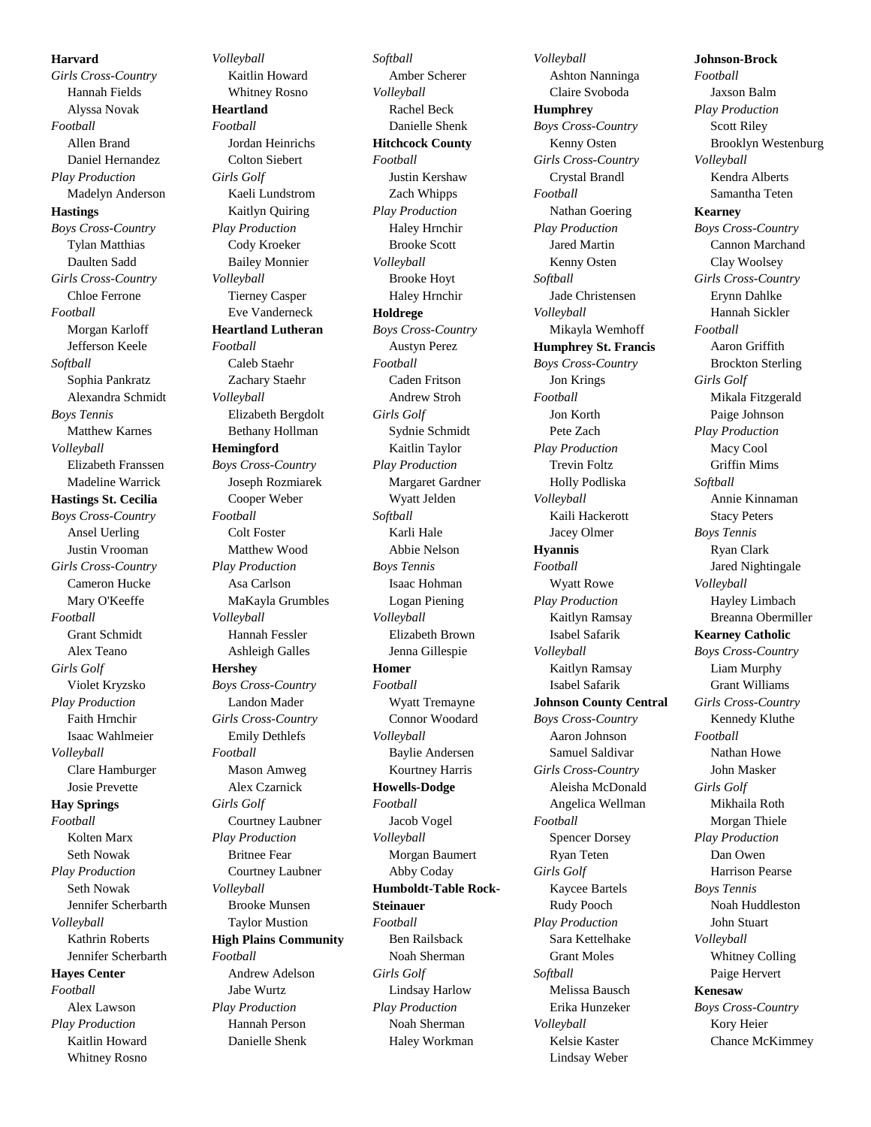**Harvard** *Girls Cross-Country* Hannah Fields Alyssa Novak *Football* Allen Brand Daniel Hernandez *Play Production* Madelyn Anderson **Hastings** *Boys Cross-Country* Tylan Matthias Daulten Sadd *Girls Cross-Country* Chloe Ferrone *Football* Morgan Karloff Jefferson Keele *Softball* Sophia Pankratz Alexandra Schmidt *Boys Tennis* Matthew Karnes *Volleyball* Elizabeth Franssen Madeline Warrick **Hastings St. Cecilia** *Boys Cross-Country* Ansel Uerling Justin Vrooman *Girls Cross-Country* Cameron Hucke Mary O'Keeffe *Football* Grant Schmidt Alex Teano *Girls Golf* Violet Kryzsko *Play Production* Faith Hrnchir Isaac Wahlmeier *Volleyball* Clare Hamburger Josie Prevette **Hay Springs** *Football* Kolten Marx Seth Nowak *Play Production* Seth Nowak Jennifer Scherbarth *Volleyball* Kathrin Roberts Jennifer Scherbarth **Hayes Center** *Football* Alex Lawson *Play Production* Kaitlin Howard Whitney Rosno

*Volleyball* Kaitlin Howard Whitney Rosno **Heartland** *Football* Jordan Heinrichs Colton Siebert *Girls Golf* Kaeli Lundstrom Kaitlyn Quiring *Play Production* Cody Kroeker Bailey Monnier *Volleyball* Tierney Casper Eve Vanderneck **Heartland Lutheran** *Football* Caleb Staehr Zachary Staehr *Volleyball* Elizabeth Bergdolt Bethany Hollman **Hemingford** *Boys Cross-Country* Joseph Rozmiarek Cooper Weber *Football* Colt Foster Matthew Wood *Play Production* Asa Carlson MaKayla Grumbles *Volleyball* Hannah Fessler Ashleigh Galles **Hershey** *Boys Cross-Country* Landon Mader *Girls Cross-Country* Emily Dethlefs *Football* Mason Amweg Alex Czarnick *Girls Golf* Courtney Laubner *Play Production* Britnee Fear Courtney Laubner *Volleyball* Brooke Munsen Taylor Mustion **High Plains Community** *Football* Andrew Adelson Jabe Wurtz *Play Production* Hannah Person Danielle Shenk

*Softball* Amber Scherer *Volleyball* Rachel Beck Danielle Shenk **Hitchcock County** *Football* Justin Kershaw Zach Whipps *Play Production* Haley Hrnchir Brooke Scott *Volleyball* Brooke Hoyt Haley Hrnchir **Holdrege** *Boys Cross-Country* Austyn Perez *Football* Caden Fritson Andrew Stroh *Girls Golf* Sydnie Schmidt Kaitlin Taylor *Play Production* Margaret Gardner Wyatt Jelden *Softball* Karli Hale Abbie Nelson *Boys Tennis* Isaac Hohman Logan Piening *Volleyball* Elizabeth Brown Jenna Gillespie **Homer** *Football* Wyatt Tremayne Connor Woodard *Volleyball* Baylie Andersen Kourtney Harris **Howells-Dodge** *Football* Jacob Vogel *Volleyball* Morgan Baumert Abby Coday **Humboldt-Table Rock-Steinauer** *Football* Ben Railsback Noah Sherman *Girls Golf* Lindsay Harlow *Play Production* Noah Sherman Haley Workman

*Volleyball* Ashton Nanninga Claire Svoboda **Humphrey** *Boys Cross-Country* Kenny Osten *Girls Cross-Country* Crystal Brandl *Football* Nathan Goering *Play Production* Jared Martin Kenny Osten *Softball* Jade Christensen *Volleyball* Mikayla Wemhoff **Humphrey St. Francis** *Boys Cross-Country* Jon Krings *Football* Jon Korth Pete Zach *Play Production* Trevin Foltz Holly Podliska *Volleyball* Kaili Hackerott Jacey Olmer **Hyannis** *Football* Wyatt Rowe *Play Production* Kaitlyn Ramsay Isabel Safarik *Volleyball* Kaitlyn Ramsay Isabel Safarik **Johnson County Central** *Boys Cross-Country* Aaron Johnson Samuel Saldivar *Girls Cross-Country* Aleisha McDonald Angelica Wellman *Football* Spencer Dorsey Ryan Teten *Girls Golf* Kaycee Bartels Rudy Pooch *Play Production* Sara Kettelhake Grant Moles *Softball* Melissa Bausch Erika Hunzeker *Volleyball* Kelsie Kaster Lindsay Weber

**Johnson-Brock** *Football* Jaxson Balm *Play Production* Scott Riley Brooklyn Westenburg *Volleyball* Kendra Alberts Samantha Teten **Kearney** *Boys Cross-Country* Cannon Marchand Clay Woolsey *Girls Cross-Country* Erynn Dahlke Hannah Sickler *Football* Aaron Griffith Brockton Sterling *Girls Golf* Mikala Fitzgerald Paige Johnson *Play Production* Macy Cool Griffin Mims *Softball* Annie Kinnaman Stacy Peters *Boys Tennis* Ryan Clark Jared Nightingale *Volleyball* Hayley Limbach Breanna Obermiller **Kearney Catholic** *Boys Cross-Country* Liam Murphy Grant Williams *Girls Cross-Country* Kennedy Kluthe *Football* Nathan Howe John Masker *Girls Golf* Mikhaila Roth Morgan Thiele *Play Production* Dan Owen Harrison Pearse *Boys Tennis* Noah Huddleston John Stuart *Volleyball* Whitney Colling Paige Hervert **Kenesaw** *Boys Cross-Country* Kory Heier Chance McKimmey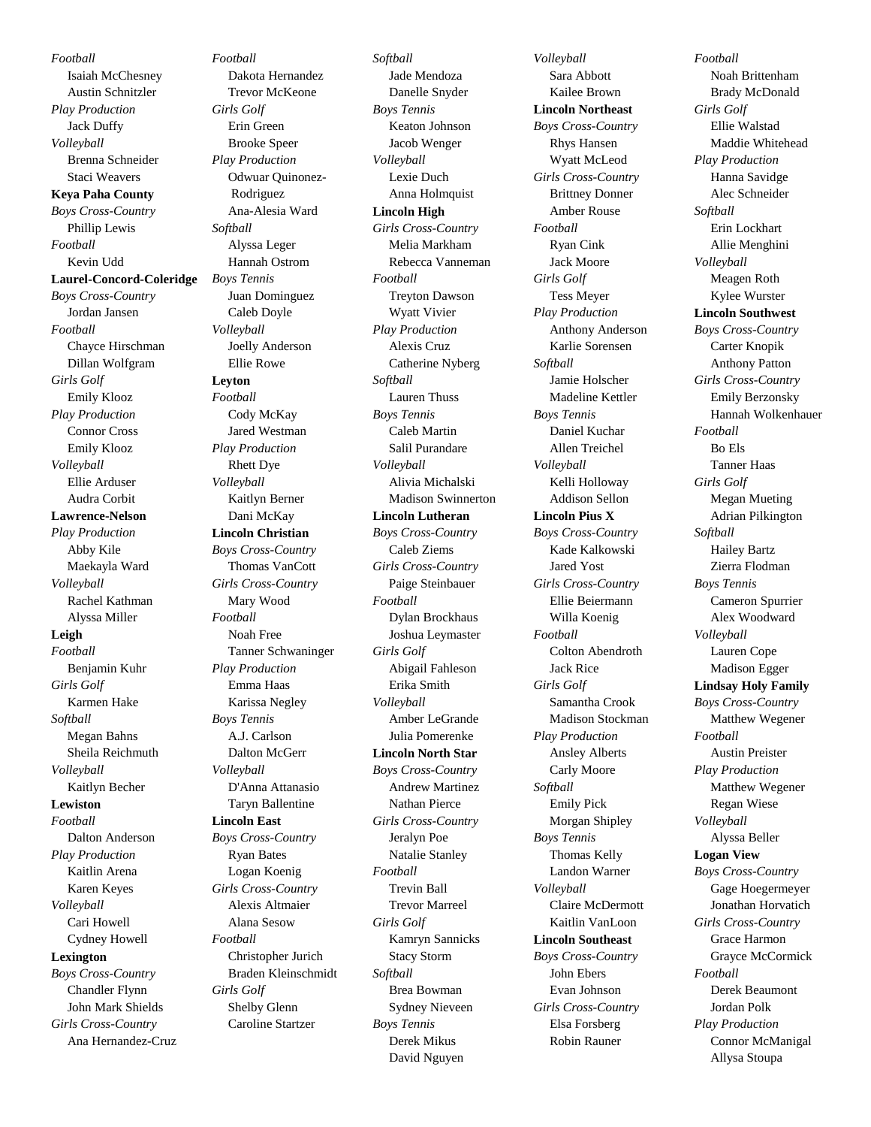*Football* Isaiah McChesney Austin Schnitzler *Play Production* Jack Duffy *Volleyball* Brenna Schneider Staci Weavers **Keya Paha County** *Boys Cross-Country* Phillip Lewis *Football* Kevin Udd **Laurel-Concord-Coleridge** *Boys Cross-Country* Jordan Jansen *Football* Chayce Hirschman Dillan Wolfgram *Girls Golf* Emily Klooz *Play Production* Connor Cross Emily Klooz *Volleyball* Ellie Arduser Audra Corbit **Lawrence-Nelson** *Play Production* Abby Kile Maekayla Ward *Volleyball* Rachel Kathman Alyssa Miller **Leigh** *Football* Benjamin Kuhr *Girls Golf* Karmen Hake *Softball* Megan Bahns Sheila Reichmuth *Volleyball* Kaitlyn Becher **Lewiston** *Football* Dalton Anderson *Play Production* Kaitlin Arena Karen Keyes *Volleyball* Cari Howell Cydney Howell **Lexington** *Boys Cross-Country* Chandler Flynn John Mark Shields *Girls Cross-Country* Ana Hernandez-Cruz

*Football* Dakota Hernandez Trevor McKeone *Girls Golf* Erin Green Brooke Speer *Play Production* Odwuar Quinonez-Rodriguez Ana-Alesia Ward *Softball* Alyssa Leger Hannah Ostrom *Boys Tennis* Juan Dominguez Caleb Doyle *Volleyball* Joelly Anderson Ellie Rowe **Leyton** *Football* Cody McKay Jared Westman *Play Production* Rhett Dye *Volleyball* Kaitlyn Berner Dani McKay **Lincoln Christian** *Boys Cross-Country* Thomas VanCott *Girls Cross-Country* Mary Wood *Football* Noah Free Tanner Schwaninger *Play Production* Emma Haas Karissa Negley *Boys Tennis* A.J. Carlson Dalton McGerr *Volleyball* D'Anna Attanasio Taryn Ballentine **Lincoln East** *Boys Cross-Country* Ryan Bates Logan Koenig *Girls Cross-Country* Alexis Altmaier Alana Sesow *Football* Christopher Jurich Braden Kleinschmidt *Girls Golf* Shelby Glenn Caroline Startzer

*Softball* Jade Mendoza Danelle Snyder *Boys Tennis* Keaton Johnson Jacob Wenger *Volleyball* Lexie Duch Anna Holmquist **Lincoln High** *Girls Cross-Country* Melia Markham Rebecca Vanneman *Football* Treyton Dawson Wyatt Vivier *Play Production* Alexis Cruz Catherine Nyberg *Softball* Lauren Thuss *Boys Tennis* Caleb Martin Salil Purandare *Volleyball* Alivia Michalski Madison Swinnerton **Lincoln Lutheran** *Boys Cross-Country* Caleb Ziems *Girls Cross-Country* Paige Steinbauer *Football* Dylan Brockhaus Joshua Leymaster *Girls Golf* Abigail Fahleson Erika Smith *Volleyball* Amber LeGrande Julia Pomerenke **Lincoln North Star** *Boys Cross-Country* Andrew Martinez Nathan Pierce *Girls Cross-Country* Jeralyn Poe Natalie Stanley *Football* Trevin Ball Trevor Marreel *Girls Golf* Kamryn Sannicks Stacy Storm *Softball* Brea Bowman Sydney Nieveen *Boys Tennis* Derek Mikus David Nguyen

*Volleyball* Sara Abbott Kailee Brown **Lincoln Northeast** *Boys Cross-Country* Rhys Hansen Wyatt McLeod *Girls Cross-Country* Brittney Donner Amber Rouse *Football* Ryan Cink Jack Moore *Girls Golf* Tess Meyer *Play Production* Anthony Anderson Karlie Sorensen *Softball* Jamie Holscher Madeline Kettler *Boys Tennis* Daniel Kuchar Allen Treichel *Volleyball* Kelli Holloway Addison Sellon **Lincoln Pius X** *Boys Cross-Country* Kade Kalkowski Jared Yost *Girls Cross-Country* Ellie Beiermann Willa Koenig *Football* Colton Abendroth Jack Rice *Girls Golf* Samantha Crook Madison Stockman *Play Production* Ansley Alberts Carly Moore *Softball* Emily Pick Morgan Shipley *Boys Tennis* Thomas Kelly Landon Warner *Volleyball* Claire McDermott Kaitlin VanLoon **Lincoln Southeast** *Boys Cross-Country* John Ebers Evan Johnson *Girls Cross-Country* Elsa Forsberg Robin Rauner

*Football* Noah Brittenham Brady McDonald *Girls Golf* Ellie Walstad Maddie Whitehead *Play Production* Hanna Savidge Alec Schneider *Softball* Erin Lockhart Allie Menghini *Volleyball* Meagen Roth Kylee Wurster **Lincoln Southwest** *Boys Cross-Country* Carter Knopik Anthony Patton *Girls Cross-Country* Emily Berzonsky Hannah Wolkenhauer *Football* Bo Els Tanner Haas *Girls Golf* Megan Mueting Adrian Pilkington *Softball* Hailey Bartz Zierra Flodman *Boys Tennis* Cameron Spurrier Alex Woodward *Volleyball* Lauren Cope Madison Egger **Lindsay Holy Family** *Boys Cross-Country* Matthew Wegener *Football* Austin Preister *Play Production* Matthew Wegener Regan Wiese *Volleyball* Alyssa Beller **Logan View** *Boys Cross-Country* Gage Hoegermeyer Jonathan Horvatich *Girls Cross-Country* Grace Harmon Grayce McCormick *Football* Derek Beaumont Jordan Polk *Play Production* Connor McManigal Allysa Stoupa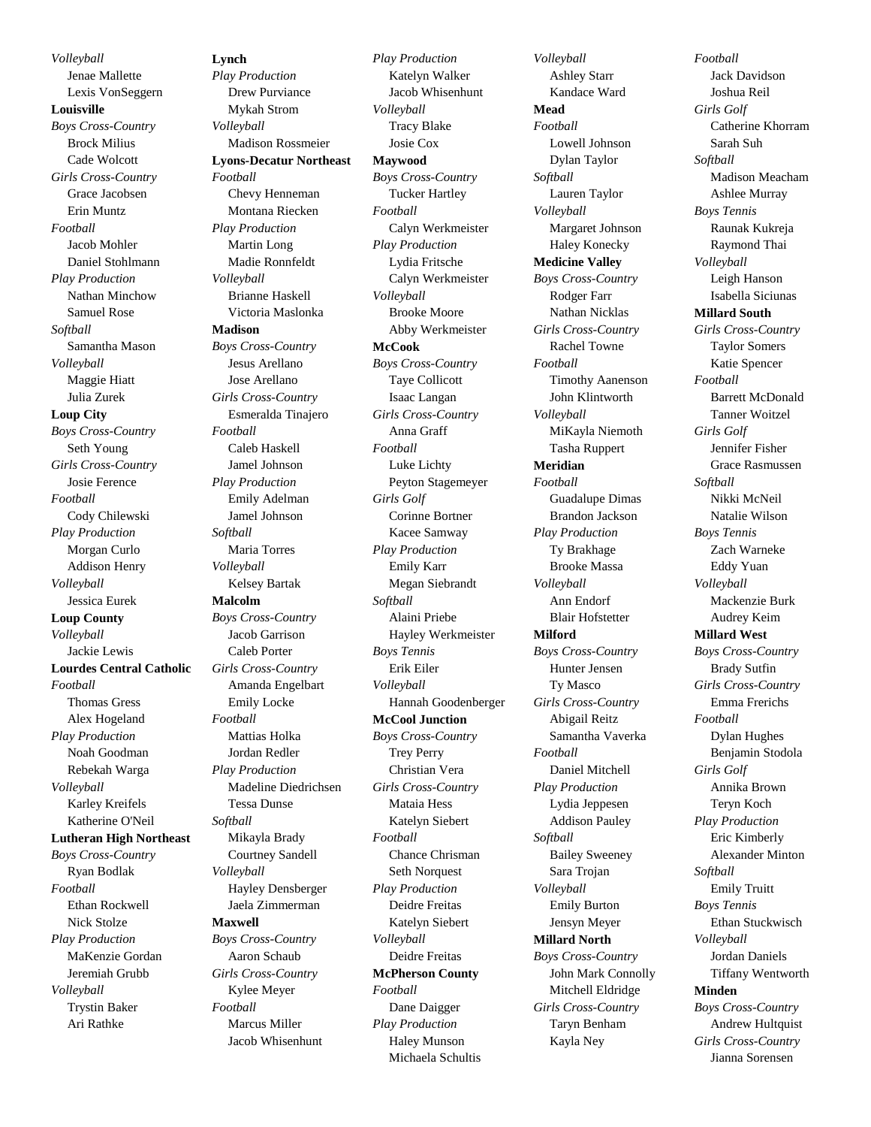*Volleyball* Jenae Mallette Lexis VonSeggern **Louisville** *Boys Cross-Country* Brock Milius Cade Wolcott *Girls Cross-Country* Grace Jacobsen Erin Muntz *Football* Jacob Mohler Daniel Stohlmann *Play Production* Nathan Minchow Samuel Rose *Softball* Samantha Mason *Volleyball* Maggie Hiatt Julia Zurek **Loup City** *Boys Cross-Country* Seth Young *Girls Cross-Country* Josie Ference *Football* Cody Chilewski *Play Production* Morgan Curlo Addison Henry *Volleyball* Jessica Eurek **Loup County** *Volleyball* Jackie Lewis **Lourdes Central Catholic** *Football* Thomas Gress Alex Hogeland *Play Production* Noah Goodman Rebekah Warga *Volleyball* Karley Kreifels Katherine O'Neil **Lutheran High Northeast** *Boys Cross-Country* Ryan Bodlak *Football* Ethan Rockwell Nick Stolze *Play Production* MaKenzie Gordan Jeremiah Grubb *Volleyball* Trystin Baker Ari Rathke

**Lynch** *Play Production* Drew Purviance Mykah Strom *Volleyball* Madison Rossmeier **Lyons-Decatur Northeast** *Football* Chevy Henneman Montana Riecken *Play Production* Martin Long Madie Ronnfeldt *Volleyball* Brianne Haskell Victoria Maslonka **Madison** *Boys Cross-Country* Jesus Arellano Jose Arellano *Girls Cross-Country* Esmeralda Tinajero *Football* Caleb Haskell Jamel Johnson *Play Production* Emily Adelman Jamel Johnson *Softball* Maria Torres *Volleyball* Kelsey Bartak **Malcolm** *Boys Cross-Country* Jacob Garrison Caleb Porter *Girls Cross-Country* Amanda Engelbart Emily Locke *Football* Mattias Holka Jordan Redler *Play Production* Madeline Diedrichsen Tessa Dunse *Softball* Mikayla Brady Courtney Sandell *Volleyball* Hayley Densberger Jaela Zimmerman **Maxwell** *Boys Cross-Country* Aaron Schaub *Girls Cross-Country* Kylee Meyer *Football* Marcus Miller Jacob Whisenhunt

*Play Production* Katelyn Walker Jacob Whisenhunt *Volleyball* Tracy Blake Josie Cox **Maywood** *Boys Cross-Country* Tucker Hartley *Football* Calyn Werkmeister *Play Production* Lydia Fritsche Calyn Werkmeister *Volleyball* Brooke Moore Abby Werkmeister **McCook** *Boys Cross-Country* Taye Collicott Isaac Langan *Girls Cross-Country* Anna Graff *Football* Luke Lichty Peyton Stagemeyer *Girls Golf* Corinne Bortner Kacee Samway *Play Production* Emily Karr Megan Siebrandt *Softball* Alaini Priebe Hayley Werkmeister *Boys Tennis* Erik Eiler *Volleyball* Hannah Goodenberger **McCool Junction** *Boys Cross-Country* Trey Perry Christian Vera *Girls Cross-Country* Mataia Hess Katelyn Siebert *Football* Chance Chrisman Seth Norquest *Play Production* Deidre Freitas Katelyn Siebert *Volleyball* Deidre Freitas **McPherson County** *Football* Dane Daigger *Play Production* Haley Munson

Michaela Schultis

*Volleyball* Ashley Starr Kandace Ward **Mead** *Football* Lowell Johnson Dylan Taylor *Softball* Lauren Taylor *Volleyball* Margaret Johnson Haley Konecky **Medicine Valley** *Boys Cross-Country* Rodger Farr Nathan Nicklas *Girls Cross-Country* Rachel Towne *Football* Timothy Aanenson John Klintworth *Volleyball* MiKayla Niemoth Tasha Ruppert **Meridian** *Football* Guadalupe Dimas Brandon Jackson *Play Production* Ty Brakhage Brooke Massa *Volleyball* Ann Endorf Blair Hofstetter **Milford** *Boys Cross-Country* Hunter Jensen Ty Masco *Girls Cross-Country* Abigail Reitz Samantha Vaverka *Football* Daniel Mitchell *Play Production* Lydia Jeppesen Addison Pauley *Softball* Bailey Sweeney Sara Trojan *Volleyball* Emily Burton Jensyn Meyer **Millard North** *Boys Cross-Country* John Mark Connolly Mitchell Eldridge *Girls Cross-Country* Taryn Benham Kayla Ney

*Football* Jack Davidson Joshua Reil *Girls Golf* Catherine Khorram Sarah Suh *Softball* Madison Meacham Ashlee Murray *Boys Tennis* Raunak Kukreja Raymond Thai *Volleyball* Leigh Hanson Isabella Siciunas **Millard South** *Girls Cross-Country* Taylor Somers Katie Spencer *Football* Barrett McDonald Tanner Woitzel *Girls Golf* Jennifer Fisher Grace Rasmussen *Softball* Nikki McNeil Natalie Wilson *Boys Tennis* Zach Warneke Eddy Yuan *Volleyball* Mackenzie Burk Audrey Keim **Millard West** *Boys Cross-Country* Brady Sutfin *Girls Cross-Country* Emma Frerichs *Football* Dylan Hughes Benjamin Stodola *Girls Golf* Annika Brown Teryn Koch *Play Production* Eric Kimberly Alexander Minton *Softball* Emily Truitt *Boys Tennis* Ethan Stuckwisch *Volleyball* Jordan Daniels Tiffany Wentworth **Minden** *Boys Cross-Country* Andrew Hultquist *Girls Cross-Country* Jianna Sorensen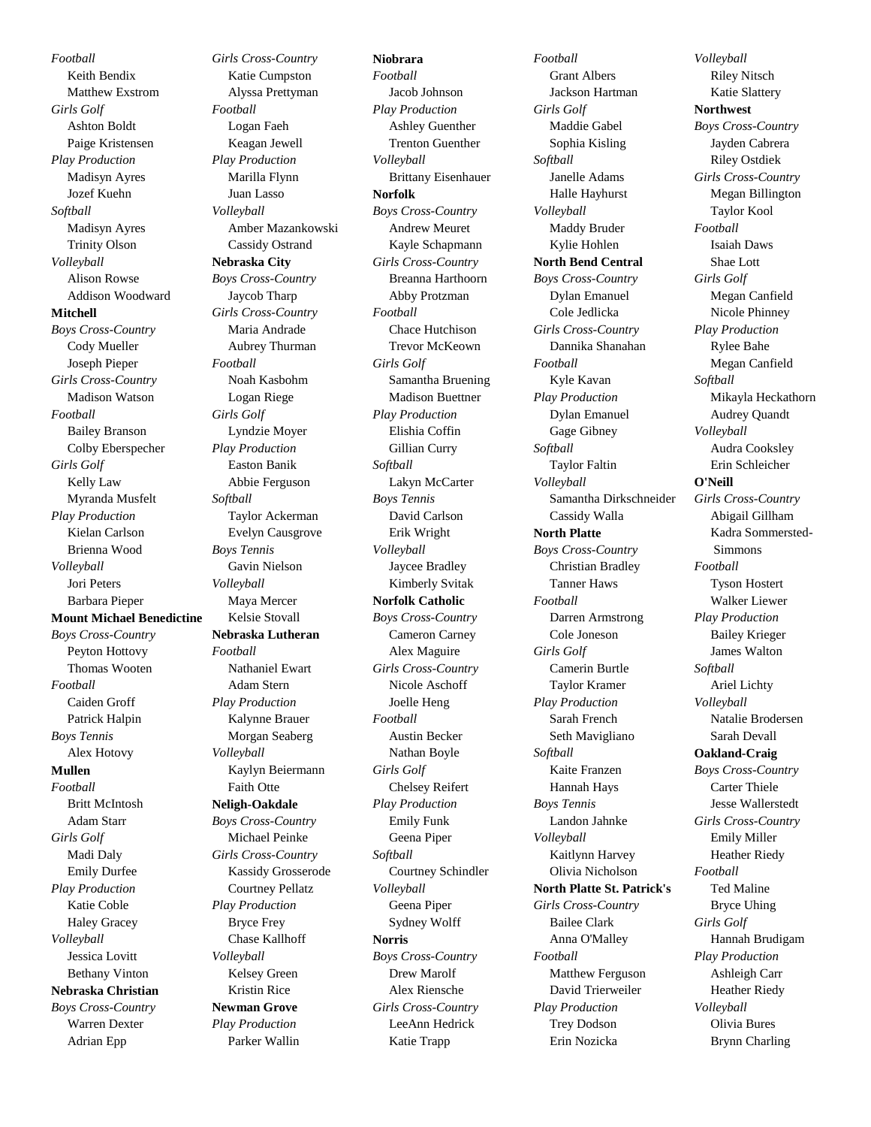*Football* Keith Bendix Matthew Exstrom *Girls Golf* Ashton Boldt Paige Kristensen *Play Production* Madisyn Ayres Jozef Kuehn *Softball* Madisyn Ayres Trinity Olson *Volleyball* Alison Rowse Addison Woodward **Mitchell** *Boys Cross-Country* Cody Mueller Joseph Pieper *Girls Cross-Country* Madison Watson *Football* Bailey Branson Colby Eberspecher *Girls Golf* Kelly Law Myranda Musfelt *Play Production* Kielan Carlson Brienna Wood *Volleyball* Jori Peters Barbara Pieper **Mount Michael Benedictine** *Boys Cross-Country* Peyton Hottovy Thomas Wooten *Football* Caiden Groff Patrick Halpin *Boys Tennis* Alex Hotovy **Mullen** *Football* Britt McIntosh Adam Starr *Girls Golf* Madi Daly Emily Durfee *Play Production* Katie Coble Haley Gracey *Volleyball* Jessica Lovitt Bethany Vinton **Nebraska Christian** *Boys Cross-Country* Warren Dexter Adrian Epp

*Girls Cross-Country* Katie Cumpston Alyssa Prettyman *Football* Logan Faeh Keagan Jewell *Play Production* Marilla Flynn Juan Lasso *Volleyball* Amber Mazankowski Cassidy Ostrand **Nebraska City** *Boys Cross-Country* Jaycob Tharp *Girls Cross-Country* Maria Andrade Aubrey Thurman *Football* Noah Kasbohm Logan Riege *Girls Golf* Lyndzie Moyer *Play Production* Easton Banik Abbie Ferguson *Softball* Taylor Ackerman Evelyn Causgrove *Boys Tennis* Gavin Nielson *Volleyball* Maya Mercer Kelsie Stovall **Nebraska Lutheran** *Football* Nathaniel Ewart Adam Stern *Play Production* Kalynne Brauer Morgan Seaberg *Volleyball* Kaylyn Beiermann Faith Otte **Neligh-Oakdale** *Boys Cross-Country* Michael Peinke *Girls Cross-Country* Kassidy Grosserode Courtney Pellatz *Play Production* Bryce Frey Chase Kallhoff *Volleyball* Kelsey Green Kristin Rice **Newman Grove** *Play Production* Parker Wallin

**Niobrara** *Football* Jacob Johnson *Play Production* Ashley Guenther Trenton Guenther *Volleyball* Brittany Eisenhauer **Norfolk** *Boys Cross-Country* Andrew Meuret Kayle Schapmann *Girls Cross-Country* Breanna Harthoorn Abby Protzman *Football* Chace Hutchison Trevor McKeown *Girls Golf* Samantha Bruening Madison Buettner *Play Production* Elishia Coffin Gillian Curry *Softball* Lakyn McCarter *Boys Tennis* David Carlson Erik Wright *Volleyball* Jaycee Bradley Kimberly Svitak **Norfolk Catholic** *Boys Cross-Country* Cameron Carney Alex Maguire *Girls Cross-Country* Nicole Aschoff Joelle Heng *Football* Austin Becker Nathan Boyle *Girls Golf* Chelsey Reifert *Play Production* Emily Funk Geena Piper *Softball* Courtney Schindler *Volleyball* Geena Piper Sydney Wolff **Norris** *Boys Cross-Country* Drew Marolf Alex Riensche *Girls Cross-Country* LeeAnn Hedrick Katie Trapp

*Football* Grant Albers Jackson Hartman *Girls Golf* Maddie Gabel Sophia Kisling *Softball* Janelle Adams Halle Hayhurst *Volleyball* Maddy Bruder Kylie Hohlen **North Bend Central** *Boys Cross-Country* Dylan Emanuel Cole Jedlicka *Girls Cross-Country* Dannika Shanahan *Football* Kyle Kavan *Play Production* Dylan Emanuel Gage Gibney *Softball* Taylor Faltin *Volleyball* Samantha Dirkschneider Cassidy Walla **North Platte** *Boys Cross-Country* Christian Bradley Tanner Haws *Football* Darren Armstrong Cole Joneson *Girls Golf* Camerin Burtle Taylor Kramer *Play Production* Sarah French Seth Mavigliano *Softball* Kaite Franzen Hannah Hays *Boys Tennis* Landon Jahnke *Volleyball* Kaitlynn Harvey Olivia Nicholson **North Platte St. Patrick's** *Girls Cross-Country* Bailee Clark Anna O'Malley *Football* Matthew Ferguson David Trierweiler *Play Production* Trey Dodson Erin Nozicka

*Volleyball* Riley Nitsch Katie Slattery **Northwest** *Boys Cross-Country* Jayden Cabrera Riley Ostdiek *Girls Cross-Country* Megan Billington Taylor Kool *Football* Isaiah Daws Shae Lott *Girls Golf* Megan Canfield Nicole Phinney *Play Production* Rylee Bahe Megan Canfield *Softball* Mikayla Heckathorn Audrey Quandt *Volleyball* Audra Cooksley Erin Schleicher **O'Neill** *Girls Cross-Country* Abigail Gillham Kadra Sommersted-Simmons *Football* Tyson Hostert Walker Liewer *Play Production* Bailey Krieger James Walton *Softball* Ariel Lichty *Volleyball* Natalie Brodersen Sarah Devall **Oakland-Craig** *Boys Cross-Country* Carter Thiele Jesse Wallerstedt *Girls Cross-Country* Emily Miller Heather Riedy *Football* Ted Maline Bryce Uhing *Girls Golf* Hannah Brudigam *Play Production* Ashleigh Carr Heather Riedy *Volleyball* Olivia Bures Brynn Charling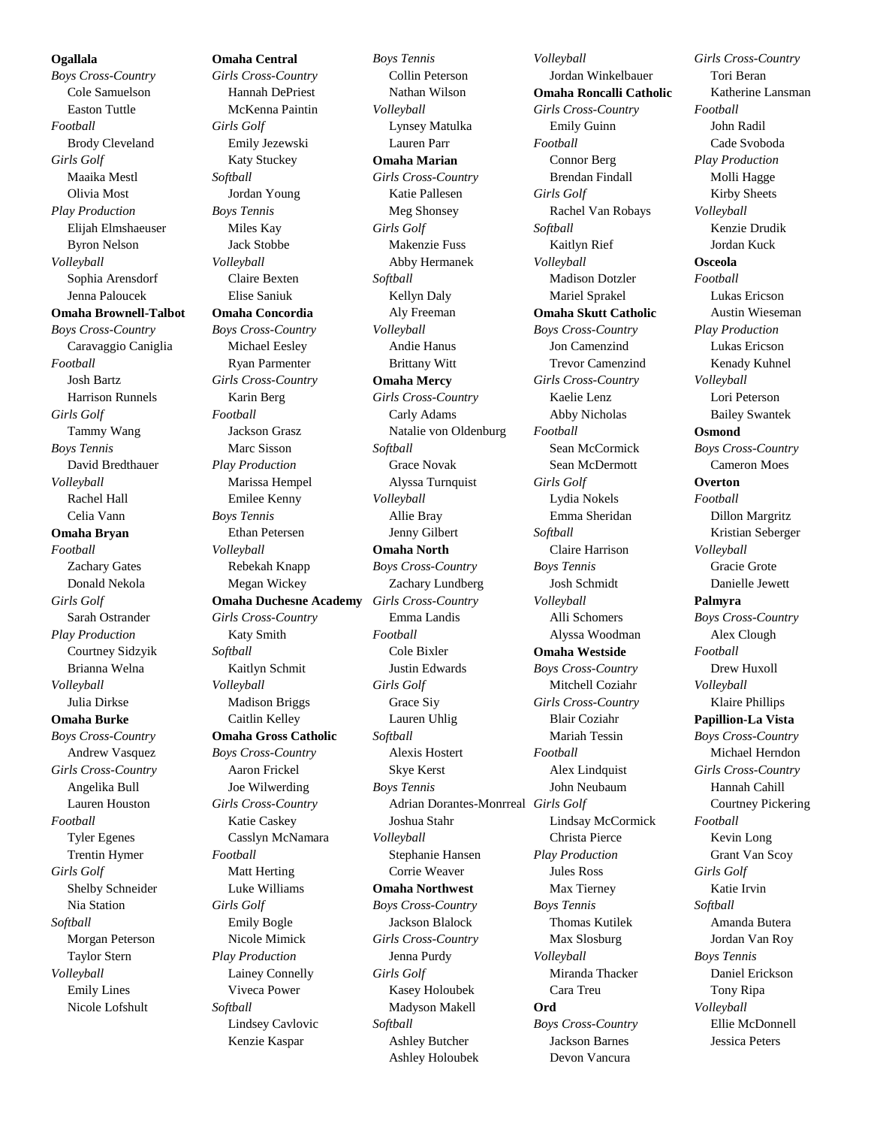**Ogallala**

*Boys Cross-Country* Cole Samuelson Easton Tuttle *Football* Brody Cleveland *Girls Golf* Maaika Mestl Olivia Most *Play Production* Elijah Elmshaeuser Byron Nelson *Volleyball* Sophia Arensdorf Jenna Paloucek **Omaha Brownell-Talbot** *Boys Cross-Country* Caravaggio Caniglia *Football* Josh Bartz Harrison Runnels *Girls Golf* Tammy Wang *Boys Tennis* David Bredthauer *Volleyball* Rachel Hall Celia Vann **Omaha Bryan** *Football* Zachary Gates Donald Nekola *Girls Golf* Sarah Ostrander *Play Production* Courtney Sidzyik Brianna Welna *Volleyball* Julia Dirkse **Omaha Burke** *Boys Cross-Country* Andrew Vasquez *Girls Cross-Country* Angelika Bull Lauren Houston *Football* Tyler Egenes Trentin Hymer *Girls Golf* Shelby Schneider Nia Station *Softball* Morgan Peterson Taylor Stern *Volleyball* Emily Lines Nicole Lofshult

**Omaha Central** *Girls Cross-Country* Hannah DePriest McKenna Paintin *Girls Golf* Emily Jezewski Katy Stuckey *Softball* Jordan Young *Boys Tennis* Miles Kay Jack Stobbe *Volleyball* Claire Bexten Elise Saniuk **Omaha Concordia** *Boys Cross-Country* Michael Eesley Ryan Parmenter *Girls Cross-Country* Karin Berg *Football* Jackson Grasz Marc Sisson *Play Production* Marissa Hempel Emilee Kenny *Boys Tennis* Ethan Petersen *Volleyball* Rebekah Knapp Megan Wickey **Omaha Duchesne Academy** *Girls Cross-Country* Katy Smith *Softball* Kaitlyn Schmit *Volleyball* Madison Briggs Caitlin Kelley **Omaha Gross Catholic** *Boys Cross-Country* Aaron Frickel Joe Wilwerding *Girls Cross-Country* Katie Caskey Casslyn McNamara *Football* Matt Herting Luke Williams *Girls Golf* Emily Bogle Nicole Mimick *Play Production* Lainey Connelly Viveca Power *Softball* Lindsey Cavlovic Kenzie Kaspar

*Boys Tennis* Collin Peterson Nathan Wilson *Volleyball* Lynsey Matulka Lauren Parr **Omaha Marian** *Girls Cross-Country* Katie Pallesen Meg Shonsey *Girls Golf* Makenzie Fuss Abby Hermanek *Softball* Kellyn Daly Aly Freeman *Volleyball* Andie Hanus Brittany Witt **Omaha Mercy** *Girls Cross-Country* Carly Adams Natalie von Oldenburg *Softball* Grace Novak Alyssa Turnquist *Volleyball* Allie Bray Jenny Gilbert **Omaha North** *Boys Cross-Country* Zachary Lundberg *Girls Cross-Country* Emma Landis *Football* Cole Bixler Justin Edwards *Girls Golf* Grace Siy Lauren Uhlig *Softball* Alexis Hostert Skye Kerst *Boys Tennis* Adrian Dorantes-Monrreal *Girls Golf* Joshua Stahr *Volleyball* Stephanie Hansen Corrie Weaver **Omaha Northwest** *Boys Cross-Country* Jackson Blalock *Girls Cross-Country* Jenna Purdy *Girls Golf* Kasey Holoubek Madyson Makell *Softball* Ashley Butcher Ashley Holoubek

*Volleyball* Jordan Winkelbauer **Omaha Roncalli Catholic** *Girls Cross-Country* Emily Guinn *Football* Connor Berg Brendan Findall *Girls Golf* Rachel Van Robays *Softball* Kaitlyn Rief *Volleyball* Madison Dotzler Mariel Sprakel **Omaha Skutt Catholic** *Boys Cross-Country* Jon Camenzind Trevor Camenzind *Girls Cross-Country* Kaelie Lenz Abby Nicholas *Football* Sean McCormick Sean McDermott *Girls Golf* Lydia Nokels Emma Sheridan *Softball* Claire Harrison *Boys Tennis* Josh Schmidt *Volleyball* Alli Schomers Alyssa Woodman **Omaha Westside** *Boys Cross-Country* Mitchell Coziahr *Girls Cross-Country* Blair Coziahr Mariah Tessin *Football* Alex Lindquist John Neubaum Lindsay McCormick Christa Pierce *Play Production* Jules Ross Max Tierney *Boys Tennis* Thomas Kutilek Max Slosburg *Volleyball* Miranda Thacker Cara Treu **Ord** *Boys Cross-Country* Jackson Barnes

Devon Vancura

*Girls Cross-Country* Tori Beran Katherine Lansman *Football* John Radil Cade Svoboda *Play Production* Molli Hagge Kirby Sheets *Volleyball* Kenzie Drudik Jordan Kuck **Osceola** *Football* Lukas Ericson Austin Wieseman *Play Production* Lukas Ericson Kenady Kuhnel *Volleyball* Lori Peterson Bailey Swantek **Osmond** *Boys Cross-Country* Cameron Moes **Overton** *Football* Dillon Margritz Kristian Seberger *Volleyball* Gracie Grote Danielle Jewett **Palmyra** *Boys Cross-Country* Alex Clough *Football* Drew Huxoll *Volleyball* Klaire Phillips **Papillion-La Vista** *Boys Cross-Country* Michael Herndon *Girls Cross-Country* Hannah Cahill Courtney Pickering *Football* Kevin Long Grant Van Scoy *Girls Golf* Katie Irvin *Softball* Amanda Butera Jordan Van Roy *Boys Tennis* Daniel Erickson Tony Ripa *Volleyball* Ellie McDonnell Jessica Peters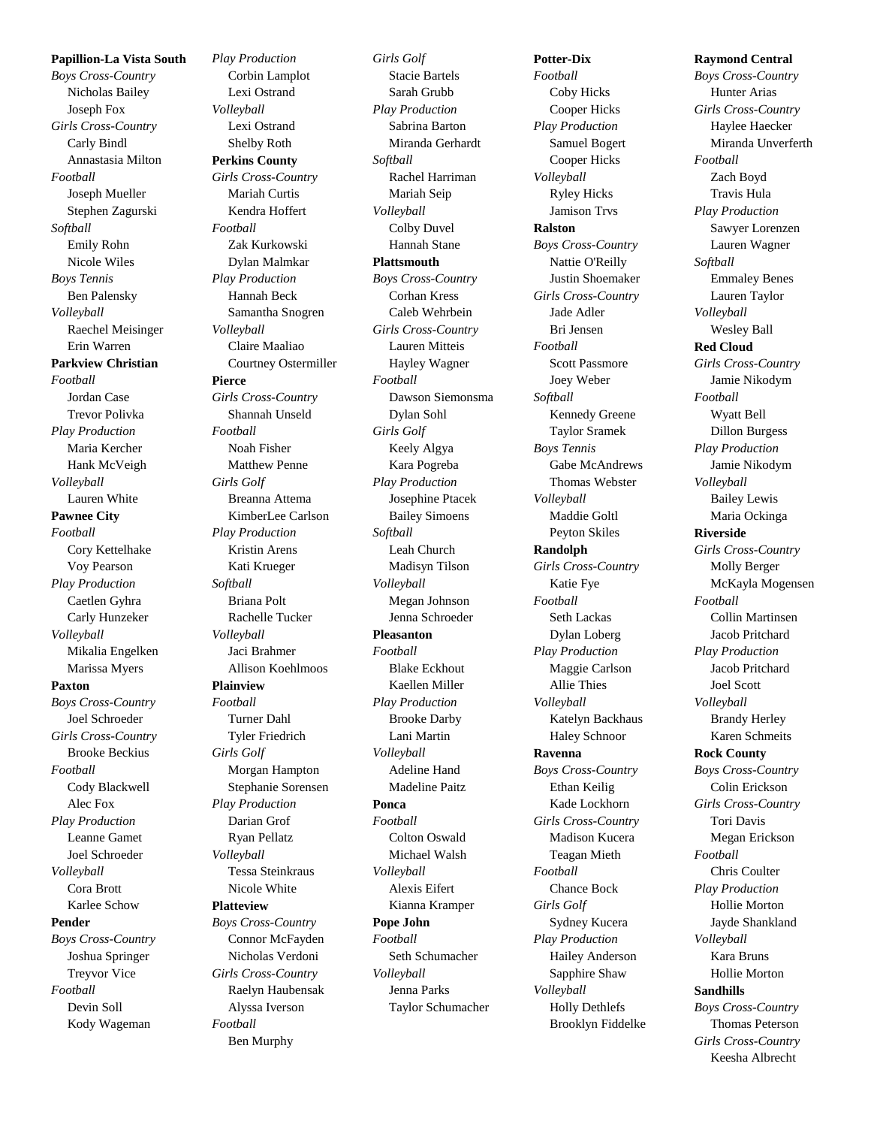**Papillion-La Vista South** *Boys Cross-Country* Nicholas Bailey Joseph Fox *Girls Cross-Country* Carly Bindl Annastasia Milton *Football* Joseph Mueller Stephen Zagurski *Softball* Emily Rohn Nicole Wiles *Boys Tennis* Ben Palensky *Volleyball* Raechel Meisinger Erin Warren **Parkview Christian** *Football* Jordan Case Trevor Polivka *Play Production* Maria Kercher Hank McVeigh *Volleyball* Lauren White **Pawnee City** *Football* Cory Kettelhake Voy Pearson *Play Production* Caetlen Gyhra Carly Hunzeker *Volleyball* Mikalia Engelken Marissa Myers **Paxton** *Boys Cross-Country* Joel Schroeder *Girls Cross-Country* Brooke Beckius *Football* Cody Blackwell Alec Fox *Play Production* Leanne Gamet Joel Schroeder *Volleyball* Cora Brott Karlee Schow **Pender** *Boys Cross-Country* Joshua Springer Treyvor Vice *Football* Devin Soll

Kody Wageman

*Play Production* Corbin Lamplot Lexi Ostrand *Volleyball* Lexi Ostrand Shelby Roth **Perkins County** *Girls Cross-Country* Mariah Curtis Kendra Hoffert *Football* Zak Kurkowski Dylan Malmkar *Play Production* Hannah Beck Samantha Snogren *Volleyball* Claire Maaliao Courtney Ostermiller **Pierce** *Girls Cross-Country* Shannah Unseld *Football* Noah Fisher Matthew Penne *Girls Golf* Breanna Attema KimberLee Carlson *Play Production* Kristin Arens Kati Krueger *Softball* Briana Polt Rachelle Tucker *Volleyball* Jaci Brahmer Allison Koehlmoos **Plainview** *Football* Turner Dahl Tyler Friedrich *Girls Golf* Morgan Hampton Stephanie Sorensen *Play Production* Darian Grof Ryan Pellatz *Volleyball* Tessa Steinkraus Nicole White **Platteview** *Boys Cross-Country* Connor McFayden Nicholas Verdoni *Girls Cross-Country* Raelyn Haubensak Alyssa Iverson *Football* Ben Murphy

*Girls Golf* Stacie Bartels Sarah Grubb *Play Production* Sabrina Barton Miranda Gerhardt *Softball* Rachel Harriman Mariah Seip *Volleyball* Colby Duvel Hannah Stane **Plattsmouth** *Boys Cross-Country* Corhan Kress Caleb Wehrbein *Girls Cross-Country* Lauren Mitteis Hayley Wagner *Football* Dawson Siemonsma Dylan Sohl *Girls Golf* Keely Algya Kara Pogreba *Play Production* Josephine Ptacek Bailey Simoens *Softball* Leah Church Madisyn Tilson *Volleyball* Megan Johnson Jenna Schroeder **Pleasanton** *Football* Blake Eckhout Kaellen Miller *Play Production* Brooke Darby Lani Martin *Volleyball* Adeline Hand Madeline Paitz **Ponca** *Football* Colton Oswald Michael Walsh *Volleyball* Alexis Eifert Kianna Kramper **Pope John** *Football* Seth Schumacher *Volleyball* Jenna Parks Taylor Schumacher

*Football* Coby Hicks Cooper Hicks *Play Production* Samuel Bogert Cooper Hicks *Volleyball* Ryley Hicks Jamison Trvs **Ralston** *Boys Cross-Country* Nattie O'Reilly Justin Shoemaker *Girls Cross-Country* Jade Adler Bri Jensen *Football* Scott Passmore Joey Weber *Softball* Kennedy Greene Taylor Sramek *Boys Tennis* Gabe McAndrews Thomas Webster *Volleyball* Maddie Goltl Peyton Skiles **Randolph** *Girls Cross-Country* Katie Fye *Football* Seth Lackas Dylan Loberg *Play Production* Maggie Carlson Allie Thies *Volleyball* Katelyn Backhaus Haley Schnoor **Ravenna** *Boys Cross-Country* Ethan Keilig Kade Lockhorn *Girls Cross-Country* Madison Kucera Teagan Mieth *Football* Chance Bock *Girls Golf* Sydney Kucera *Play Production* Hailey Anderson Sapphire Shaw *Volleyball* Holly Dethlefs Brooklyn Fiddelke

**Potter-Dix**

## Hunter Arias *Girls Cross-Country* Haylee Haecker Miranda Unverferth *Football* Zach Boyd Travis Hula *Play Production* Sawyer Lorenzen Lauren Wagner *Softball* Emmaley Benes Lauren Taylor *Volleyball* Wesley Ball **Red Cloud** *Girls Cross-Country* Jamie Nikodym *Football* Wyatt Bell Dillon Burgess *Play Production* Jamie Nikodym *Volleyball* Bailey Lewis Maria Ockinga **Riverside** *Girls Cross-Country* Molly Berger McKayla Mogensen *Football* Collin Martinsen Jacob Pritchard *Play Production* Jacob Pritchard Joel Scott *Volleyball* Brandy Herley Karen Schmeits **Rock County** *Boys Cross-Country* Colin Erickson *Girls Cross-Country* Tori Davis Megan Erickson *Football* Chris Coulter *Play Production* Hollie Morton Jayde Shankland *Volleyball* Kara Bruns Hollie Morton **Sandhills** *Boys Cross-Country* Thomas Peterson *Girls Cross-Country*

Keesha Albrecht

**Raymond Central** *Boys Cross-Country*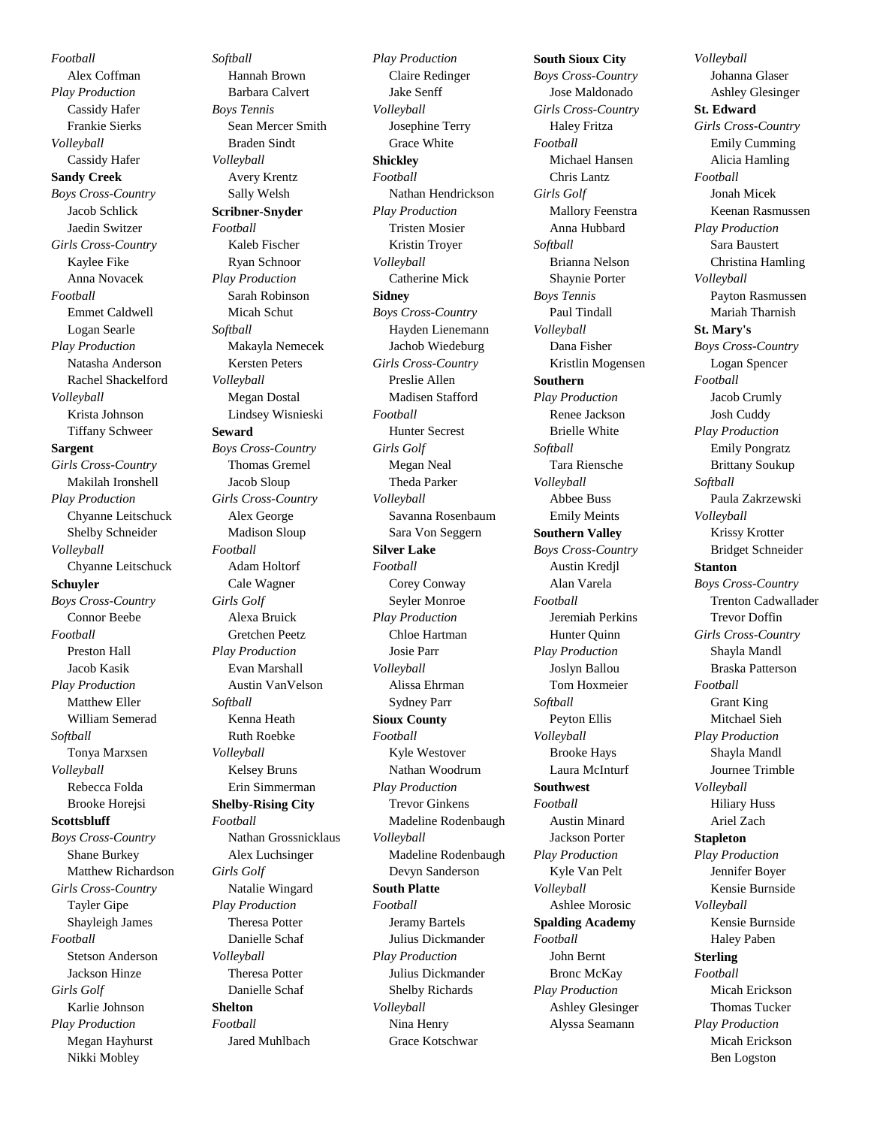*Football* Alex Coffman *Play Production* Cassidy Hafer Frankie Sierks *Volleyball* Cassidy Hafer **Sandy Creek** *Boys Cross-Country* Jacob Schlick Jaedin Switzer *Girls Cross-Country* Kaylee Fike Anna Novacek *Football* Emmet Caldwell Logan Searle *Play Production* Natasha Anderson Rachel Shackelford *Volleyball* Krista Johnson Tiffany Schweer **Sargent** *Girls Cross-Country* Makilah Ironshell *Play Production* Chyanne Leitschuck Shelby Schneider *Volleyball* Chyanne Leitschuck **Schuyler** *Boys Cross-Country* Connor Beebe *Football* Preston Hall Jacob Kasik *Play Production* Matthew Eller William Semerad *Softball* Tonya Marxsen *Volleyball* Rebecca Folda Brooke Horejsi **Scottsbluff** *Boys Cross-Country* Shane Burkey Matthew Richardson *Girls Cross-Country* Tayler Gipe Shayleigh James *Football* Stetson Anderson Jackson Hinze *Girls Golf* Karlie Johnson *Play Production* Megan Hayhurst Nikki Mobley

*Softball* Hannah Brown Barbara Calvert *Boys Tennis* Sean Mercer Smith Braden Sindt *Volleyball* Avery Krentz Sally Welsh **Scribner-Snyder** *Football* Kaleb Fischer Ryan Schnoor *Play Production* Sarah Robinson Micah Schut *Softball* Makayla Nemecek Kersten Peters *Volleyball* Megan Dostal Lindsey Wisnieski **Seward** *Boys Cross-Country* Thomas Gremel Jacob Sloup *Girls Cross-Country* Alex George Madison Sloup *Football* Adam Holtorf Cale Wagner *Girls Golf* Alexa Bruick Gretchen Peetz *Play Production* Evan Marshall Austin VanVelson *Softball* Kenna Heath Ruth Roebke *Volleyball* Kelsey Bruns Erin Simmerman **Shelby-Rising City** *Football* Nathan Grossnicklaus Alex Luchsinger *Girls Golf* Natalie Wingard *Play Production* Theresa Potter Danielle Schaf *Volleyball* Theresa Potter Danielle Schaf **Shelton** *Football* Jared Muhlbach

*Play Production* Claire Redinger Jake Senff *Volleyball* Josephine Terry Grace White **Shickley** *Football* Nathan Hendrickson *Play Production* Tristen Mosier Kristin Troyer *Volleyball* Catherine Mick **Sidney** *Boys Cross-Country* Hayden Lienemann Jachob Wiedeburg *Girls Cross-Country* Preslie Allen Madisen Stafford *Football* Hunter Secrest *Girls Golf* Megan Neal Theda Parker *Volleyball* Savanna Rosenbaum Sara Von Seggern **Silver Lake** *Football* Corey Conway Seyler Monroe *Play Production* Chloe Hartman Josie Parr *Volleyball* Alissa Ehrman Sydney Parr **Sioux County** *Football* Kyle Westover Nathan Woodrum *Play Production* Trevor Ginkens Madeline Rodenbaugh *Volleyball* Madeline Rodenbaugh Devyn Sanderson **South Platte** *Football* Jeramy Bartels Julius Dickmander *Play Production* Julius Dickmander Shelby Richards *Volleyball* Nina Henry Grace Kotschwar

**South Sioux City** *Boys Cross-Country* Jose Maldonado *Girls Cross-Country* Haley Fritza *Football* Michael Hansen Chris Lantz *Girls Golf* Mallory Feenstra Anna Hubbard *Softball* Brianna Nelson Shaynie Porter *Boys Tennis* Paul Tindall *Volleyball* Dana Fisher Kristlin Mogensen **Southern** *Play Production* Renee Jackson Brielle White *Softball* Tara Riensche *Volleyball* Abbee Buss Emily Meints **Southern Valley** *Boys Cross-Country* Austin Kredjl Alan Varela *Football* Jeremiah Perkins Hunter Quinn *Play Production* Joslyn Ballou Tom Hoxmeier *Softball* Peyton Ellis *Volleyball* Brooke Hays Laura McInturf **Southwest** *Football* Austin Minard Jackson Porter *Play Production* Kyle Van Pelt *Volleyball* Ashlee Morosic **Spalding Academy** *Football* John Bernt Bronc McKay *Play Production* Ashley Glesinger Alyssa Seamann

*Volleyball* Johanna Glaser Ashley Glesinger **St. Edward** *Girls Cross-Country* Emily Cumming Alicia Hamling *Football* Jonah Micek Keenan Rasmussen *Play Production* Sara Baustert Christina Hamling *Volleyball* Payton Rasmussen Mariah Tharnish **St. Mary's** *Boys Cross-Country* Logan Spencer *Football* Jacob Crumly Josh Cuddy *Play Production* Emily Pongratz Brittany Soukup *Softball* Paula Zakrzewski *Volleyball* Krissy Krotter Bridget Schneider **Stanton** *Boys Cross-Country* Trenton Cadwallader Trevor Doffin *Girls Cross-Country* Shayla Mandl Braska Patterson *Football* Grant King Mitchael Sieh *Play Production* Shayla Mandl Journee Trimble *Volleyball* Hiliary Huss Ariel Zach **Stapleton** *Play Production* Jennifer Boyer Kensie Burnside *Volleyball* Kensie Burnside Haley Paben **Sterling** *Football* Micah Erickson Thomas Tucker *Play Production* Micah Erickson Ben Logston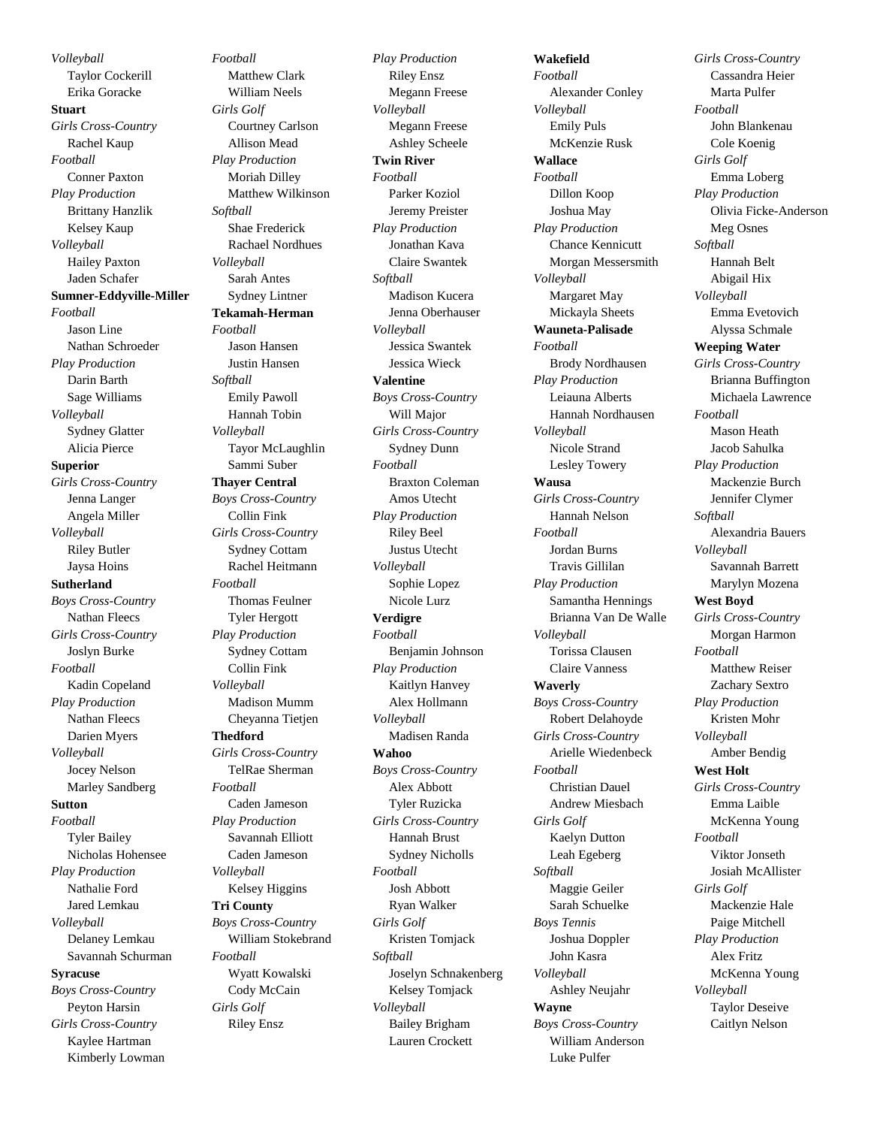*Volleyball* Taylor Cockerill Erika Goracke **Stuart** *Girls Cross-Country* Rachel Kaup *Football* Conner Paxton *Play Production* Brittany Hanzlik Kelsey Kaup *Volleyball* Hailey Paxton Jaden Schafer **Sumner-Eddyville-Miller** *Football* Jason Line Nathan Schroeder *Play Production* Darin Barth Sage Williams *Volleyball* Sydney Glatter Alicia Pierce **Superior** *Girls Cross-Country* Jenna Langer Angela Miller *Volleyball* Riley Butler Jaysa Hoins **Sutherland** *Boys Cross-Country* Nathan Fleecs *Girls Cross-Country* Joslyn Burke *Football* Kadin Copeland *Play Production* Nathan Fleecs Darien Myers *Volleyball* Jocey Nelson Marley Sandberg **Sutton** *Football* Tyler Bailey Nicholas Hohensee *Play Production* Nathalie Ford Jared Lemkau *Volleyball* Delaney Lemkau Savannah Schurman **Syracuse** *Boys Cross-Country* Peyton Harsin *Girls Cross-Country* Kaylee Hartman

Kimberly Lowman

*Football* Matthew Clark William Neels *Girls Golf* Courtney Carlson Allison Mead *Play Production* Moriah Dilley Matthew Wilkinson *Softball* Shae Frederick Rachael Nordhues *Volleyball* Sarah Antes Sydney Lintner **Tekamah-Herman** *Football* Jason Hansen Justin Hansen *Softball* Emily Pawoll Hannah Tobin *Volleyball* Tayor McLaughlin Sammi Suber **Thayer Central** *Boys Cross-Country* Collin Fink *Girls Cross-Country* Sydney Cottam Rachel Heitmann *Football* Thomas Feulner Tyler Hergott *Play Production* Sydney Cottam Collin Fink *Volleyball* Madison Mumm Cheyanna Tietjen **Thedford** *Girls Cross-Country* TelRae Sherman *Football* Caden Jameson *Play Production* Savannah Elliott Caden Jameson *Volleyball* Kelsey Higgins **Tri County** *Boys Cross-Country* William Stokebrand *Football* Wyatt Kowalski Cody McCain *Girls Golf* Riley Ensz

*Play Production* Riley Ensz Megann Freese *Volleyball* Megann Freese Ashley Scheele **Twin River** *Football* Parker Koziol Jeremy Preister *Play Production* Jonathan Kava Claire Swantek *Softball* Madison Kucera Jenna Oberhauser *Volleyball* Jessica Swantek Jessica Wieck **Valentine** *Boys Cross-Country* Will Major *Girls Cross-Country* Sydney Dunn *Football* Braxton Coleman Amos Utecht *Play Production* Riley Beel Justus Utecht *Volleyball* Sophie Lopez Nicole Lurz **Verdigre** *Football* Benjamin Johnson *Play Production* Kaitlyn Hanvey Alex Hollmann *Volleyball* Madisen Randa **Wahoo** *Boys Cross-Country* Alex Abbott Tyler Ruzicka *Girls Cross-Country* Hannah Brust Sydney Nicholls *Football* Josh Abbott Ryan Walker *Girls Golf* Kristen Tomjack *Softball* Joselyn Schnakenberg Kelsey Tomjack *Volleyball* Bailey Brigham Lauren Crockett

**Wakefield** *Football* Alexander Conley *Volleyball* Emily Puls McKenzie Rusk **Wallace** *Football* Dillon Koop Joshua May *Play Production* Chance Kennicutt Morgan Messersmith *Volleyball* Margaret May Mickayla Sheets **Wauneta-Palisade** *Football* Brody Nordhausen *Play Production* Leiauna Alberts Hannah Nordhausen *Volleyball* Nicole Strand Lesley Towery **Wausa** *Girls Cross-Country* Hannah Nelson *Football* Jordan Burns Travis Gillilan *Play Production* Samantha Hennings Brianna Van De Walle *Volleyball* Torissa Clausen Claire Vanness **Waverly** *Boys Cross-Country* Robert Delahoyde *Girls Cross-Country* Arielle Wiedenbeck *Football* Christian Dauel Andrew Miesbach *Girls Golf* Kaelyn Dutton Leah Egeberg *Softball* Maggie Geiler Sarah Schuelke *Boys Tennis* Joshua Doppler John Kasra *Volleyball* Ashley Neujahr **Wayne** *Boys Cross-Country* William Anderson Luke Pulfer

*Girls Cross-Country* Cassandra Heier Marta Pulfer *Football* John Blankenau Cole Koenig *Girls Golf* Emma Loberg *Play Production* Olivia Ficke-Anderson Meg Osnes *Softball* Hannah Belt Abigail Hix *Volleyball* Emma Evetovich Alyssa Schmale **Weeping Water** *Girls Cross-Country* Brianna Buffington Michaela Lawrence *Football* Mason Heath Jacob Sahulka *Play Production* Mackenzie Burch Jennifer Clymer *Softball* Alexandria Bauers *Volleyball* Savannah Barrett Marylyn Mozena **West Boyd** *Girls Cross-Country* Morgan Harmon *Football* Matthew Reiser Zachary Sextro *Play Production* Kristen Mohr *Volleyball* Amber Bendig **West Holt** *Girls Cross-Country* Emma Laible McKenna Young *Football* Viktor Jonseth Josiah McAllister *Girls Golf* Mackenzie Hale Paige Mitchell *Play Production* Alex Fritz McKenna Young *Volleyball* Taylor Deseive Caitlyn Nelson